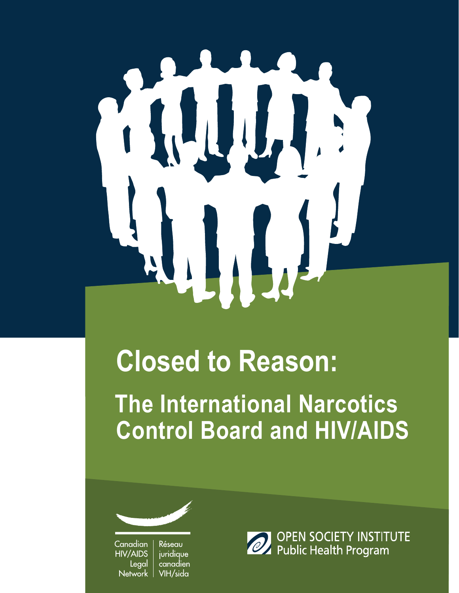# 

# **Closed to Reason:**

**The International Narcotics Control Board and HIV/AIDS**



Canadian Réseau juridique **HIV/AIDS** Legal canadien **Network** VIH/sida

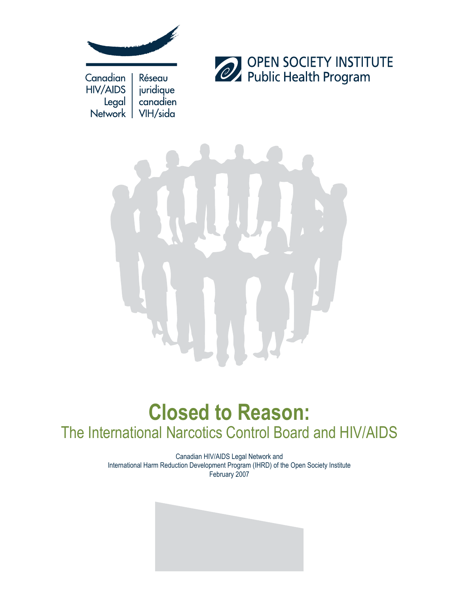



# **Closed to Reason:** The International Narcotics Control Board and HIV/AIDS

Canadian HIV/AIDS Legal Network and International Harm Reduction Development Program (IHRD) of the Open Society Institute February 2007

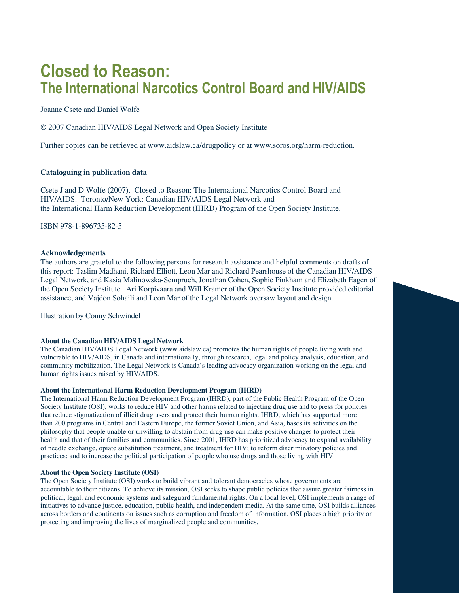# **Closed to Reason: The International Narcotics Control Board and HIV/AIDS**

Joanne Csete and Daniel Wolfe

© 2007 Canadian HIV/AIDS Legal Network and Open Society Institute

Further copies can be retrieved at www.aidslaw.ca/drugpolicy or at www.soros.org/harm-reduction.

### **Cataloguing in publication data**

Csete J and D Wolfe (2007). Closed to Reason: The International Narcotics Control Board and HIV/AIDS. Toronto/New York: Canadian HIV/AIDS Legal Network and the International Harm Reduction Development (IHRD) Program of the Open Society Institute.

ISBN 978-1-896735-82-5

### **Acknowledgements**

The authors are grateful to the following persons for research assistance and helpful comments on drafts of this report: Taslim Madhani, Richard Elliott, Leon Mar and Richard Pearshouse of the Canadian HIV/AIDS Legal Network, and Kasia Malinowska-Sempruch, Jonathan Cohen, Sophie Pinkham and Elizabeth Eagen of the Open Society Institute. Ari Korpivaara and Will Kramer of the Open Society Institute provided editorial assistance, and Vajdon Sohaili and Leon Mar of the Legal Network oversaw layout and design.

Illustration by Conny Schwindel

### **About the Canadian HIV/AIDS Legal Network**

The Canadian HIV/AIDS Legal Network (www.aidslaw.ca) promotes the human rights of people living with and vulnerable to HIV/AIDS, in Canada and internationally, through research, legal and policy analysis, education, and community mobilization. The Legal Network is Canada's leading advocacy organization working on the legal and human rights issues raised by HIV/AIDS.

### **About the International Harm Reduction Development Program (IHRD)**

The International Harm Reduction Development Program (IHRD), part of the Public Health Program of the Open Society Institute (OSI), works to reduce HIV and other harms related to injecting drug use and to press for policies that reduce stigmatization of illicit drug users and protect their human rights. IHRD, which has supported more than 200 programs in Central and Eastern Europe, the former Soviet Union, and Asia, bases its activities on the philosophy that people unable or unwilling to abstain from drug use can make positive changes to protect their health and that of their families and communities. Since 2001, IHRD has prioritized advocacy to expand availability of needle exchange, opiate substitution treatment, and treatment for HIV; to reform discriminatory policies and practices; and to increase the political participation of people who use drugs and those living with HIV.

### **About the Open Society Institute (OSI)**

The Open Society Institute (OSI) works to build vibrant and tolerant democracies whose governments are accountable to their citizens. To achieve its mission, OSI seeks to shape public policies that assure greater fairness in political, legal, and economic systems and safeguard fundamental rights. On a local level, OSI implements a range of initiatives to advance justice, education, public health, and independent media. At the same time, OSI builds alliances across borders and continents on issues such as corruption and freedom of information. OSI places a high priority on protecting and improving the lives of marginalized people and communities.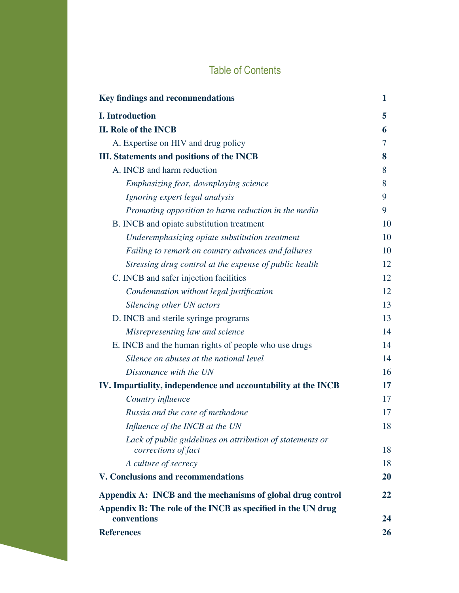# Table of Contents

| <b>Key findings and recommendations</b>                                          | 1  |
|----------------------------------------------------------------------------------|----|
| <b>I.</b> Introduction                                                           | 5  |
| <b>II. Role of the INCB</b>                                                      | 6  |
| A. Expertise on HIV and drug policy                                              | 7  |
| <b>III.</b> Statements and positions of the INCB                                 | 8  |
| A. INCB and harm reduction                                                       | 8  |
| Emphasizing fear, downplaying science                                            | 8  |
| Ignoring expert legal analysis                                                   | 9  |
| Promoting opposition to harm reduction in the media                              | 9  |
| B. INCB and opiate substitution treatment                                        | 10 |
| Underemphasizing opiate substitution treatment                                   | 10 |
| Failing to remark on country advances and failures                               | 10 |
| Stressing drug control at the expense of public health                           | 12 |
| C. INCB and safer injection facilities                                           | 12 |
| Condemnation without legal justification                                         | 12 |
| Silencing other UN actors                                                        | 13 |
| D. INCB and sterile syringe programs                                             | 13 |
| Misrepresenting law and science                                                  | 14 |
| E. INCB and the human rights of people who use drugs                             | 14 |
| Silence on abuses at the national level                                          | 14 |
| Dissonance with the UN                                                           | 16 |
| IV. Impartiality, independence and accountability at the INCB                    | 17 |
| Country influence                                                                | 17 |
| Russia and the case of methadone                                                 | 17 |
| Influence of the INCB at the UN                                                  | 18 |
| Lack of public guidelines on attribution of statements or<br>corrections of fact | 18 |
| A culture of secrecy                                                             | 18 |
| <b>V. Conclusions and recommendations</b>                                        | 20 |
| Appendix A: INCB and the mechanisms of global drug control                       | 22 |
| Appendix B: The role of the INCB as specified in the UN drug                     |    |
| conventions                                                                      | 24 |
| <b>References</b>                                                                | 26 |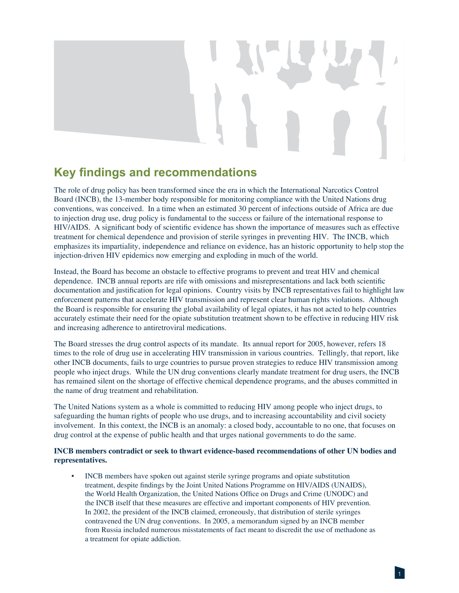# **Key findings and recommendations**

The role of drug policy has been transformed since the era in which the International Narcotics Control Board (INCB), the 13-member body responsible for monitoring compliance with the United Nations drug conventions, was conceived. In a time when an estimated 30 percent of infections outside of Africa are due to injection drug use, drug policy is fundamental to the success or failure of the international response to HIV/AIDS. A significant body of scientific evidence has shown the importance of measures such as effective treatment for chemical dependence and provision of sterile syringes in preventing HIV. The INCB, which emphasizes its impartiality, independence and reliance on evidence, has an historic opportunity to help stop the injection-driven HIV epidemics now emerging and exploding in much of the world.

Instead, the Board has become an obstacle to effective programs to prevent and treat HIV and chemical dependence. INCB annual reports are rife with omissions and misrepresentations and lack both scientific documentation and justification for legal opinions. Country visits by INCB representatives fail to highlight law enforcement patterns that accelerate HIV transmission and represent clear human rights violations. Although the Board is responsible for ensuring the global availability of legal opiates, it has not acted to help countries accurately estimate their need for the opiate substitution treatment shown to be effective in reducing HIV risk and increasing adherence to antiretroviral medications.

The Board stresses the drug control aspects of its mandate. Its annual report for 2005, however, refers 18 times to the role of drug use in accelerating HIV transmission in various countries. Tellingly, that report, like other INCB documents, fails to urge countries to pursue proven strategies to reduce HIV transmission among people who inject drugs. While the UN drug conventions clearly mandate treatment for drug users, the INCB has remained silent on the shortage of effective chemical dependence programs, and the abuses committed in the name of drug treatment and rehabilitation.

The United Nations system as a whole is committed to reducing HIV among people who inject drugs, to safeguarding the human rights of people who use drugs, and to increasing accountability and civil society involvement. In this context, the INCB is an anomaly: a closed body, accountable to no one, that focuses on drug control at the expense of public health and that urges national governments to do the same.

### **INCB members contradict or seek to thwart evidence-based recommendations of other UN bodies and representatives.**

• INCB members have spoken out against sterile syringe programs and opiate substitution treatment, despite findings by the Joint United Nations Programme on HIV/AIDS (UNAIDS), the World Health Organization, the United Nations Office on Drugs and Crime (UNODC) and the INCB itself that these measures are effective and important components of HIV prevention. In 2002, the president of the INCB claimed, erroneously, that distribution of sterile syringes contravened the UN drug conventions. In 2005, a memorandum signed by an INCB member from Russia included numerous misstatements of fact meant to discredit the use of methadone as a treatment for opiate addiction.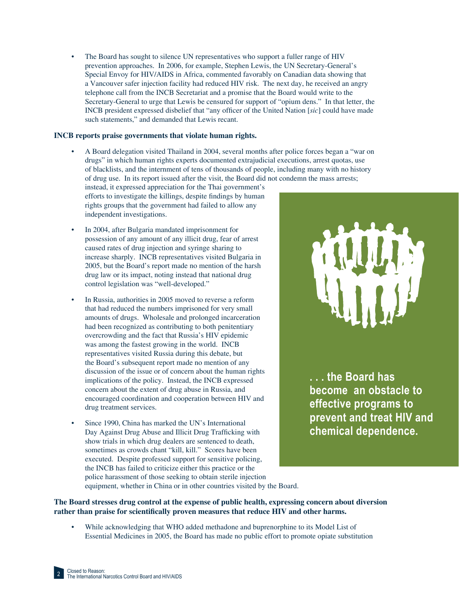• The Board has sought to silence UN representatives who support a fuller range of HIV prevention approaches. In 2006, for example, Stephen Lewis, the UN Secretary-General's Special Envoy for HIV/AIDS in Africa, commented favorably on Canadian data showing that a Vancouver safer injection facility had reduced HIV risk. The next day, he received an angry telephone call from the INCB Secretariat and a promise that the Board would write to the Secretary-General to urge that Lewis be censured for support of "opium dens." In that letter, the INCB president expressed disbelief that "any officer of the United Nation [*sic*] could have made such statements," and demanded that Lewis recant.

### **INCB reports praise governments that violate human rights.**

• A Board delegation visited Thailand in 2004, several months after police forces began a "war on drugs" in which human rights experts documented extrajudicial executions, arrest quotas, use of blacklists, and the internment of tens of thousands of people, including many with no history of drug use. In its report issued after the visit, the Board did not condemn the mass arrests;

instead, it expressed appreciation for the Thai government's efforts to investigate the killings, despite findings by human rights groups that the government had failed to allow any independent investigations.

- In 2004, after Bulgaria mandated imprisonment for possession of any amount of any illicit drug, fear of arrest caused rates of drug injection and syringe sharing to increase sharply. INCB representatives visited Bulgaria in 2005, but the Board's report made no mention of the harsh drug law or its impact, noting instead that national drug control legislation was "well-developed."
- In Russia, authorities in 2005 moved to reverse a reform that had reduced the numbers imprisoned for very small amounts of drugs. Wholesale and prolonged incarceration had been recognized as contributing to both penitentiary overcrowding and the fact that Russia's HIV epidemic was among the fastest growing in the world. INCB representatives visited Russia during this debate, but the Board's subsequent report made no mention of any discussion of the issue or of concern about the human rights implications of the policy. Instead, the INCB expressed concern about the extent of drug abuse in Russia, and encouraged coordination and cooperation between HIV and drug treatment services.
- Since 1990, China has marked the UN's International Day Against Drug Abuse and Illicit Drug Trafficking with show trials in which drug dealers are sentenced to death, sometimes as crowds chant "kill, kill." Scores have been executed. Despite professed support for sensitive policing, the INCB has failed to criticize either this practice or the police harassment of those seeking to obtain sterile injection equipment, whether in China or in other countries visited by the Board.



**. . . the Board has become an obstacle to effective programs to prevent and treat HIV and chemical dependence.**

**The Board stresses drug control at the expense of public health, expressing concern about diversion** 

- rather than praise for scientifically proven measures that reduce HIV and other harms.
	- While acknowledging that WHO added methadone and buprenorphine to its Model List of Essential Medicines in 2005, the Board has made no public effort to promote opiate substitution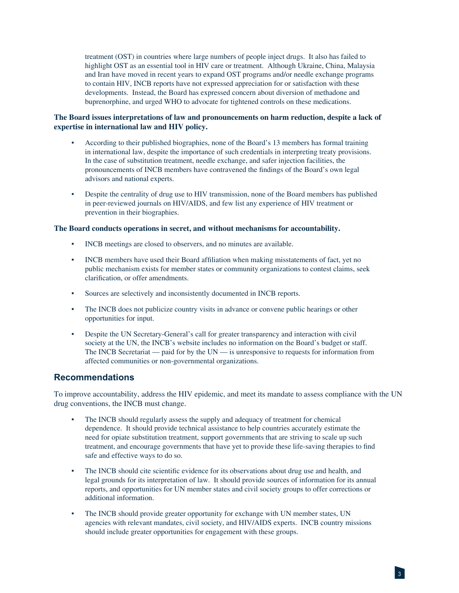treatment (OST) in countries where large numbers of people inject drugs. It also has failed to highlight OST as an essential tool in HIV care or treatment. Although Ukraine, China, Malaysia and Iran have moved in recent years to expand OST programs and/or needle exchange programs to contain HIV, INCB reports have not expressed appreciation for or satisfaction with these developments. Instead, the Board has expressed concern about diversion of methadone and buprenorphine, and urged WHO to advocate for tightened controls on these medications.

### **The Board issues interpretations of law and pronouncements on harm reduction, despite a lack of expertise in international law and HIV policy.**

- According to their published biographies, none of the Board's 13 members has formal training in international law, despite the importance of such credentials in interpreting treaty provisions. In the case of substitution treatment, needle exchange, and safer injection facilities, the pronouncements of INCB members have contravened the findings of the Board's own legal advisors and national experts.
- Despite the centrality of drug use to HIV transmission, none of the Board members has published in peer-reviewed journals on HIV/AIDS, and few list any experience of HIV treatment or prevention in their biographies.

### **The Board conducts operations in secret, and without mechanisms for accountability.**

- INCB meetings are closed to observers, and no minutes are available.
- INCB members have used their Board affiliation when making misstatements of fact, yet no public mechanism exists for member states or community organizations to contest claims, seek clarification, or offer amendments.
- Sources are selectively and inconsistently documented in INCB reports.
- The INCB does not publicize country visits in advance or convene public hearings or other opportunities for input.
- Despite the UN Secretary-General's call for greater transparency and interaction with civil society at the UN, the INCB's website includes no information on the Board's budget or staff. The INCB Secretariat — paid for by the UN — is unresponsive to requests for information from affected communities or non-governmental organizations.

### **Recommendations**

To improve accountability, address the HIV epidemic, and meet its mandate to assess compliance with the UN drug conventions, the INCB must change.

- The INCB should regularly assess the supply and adequacy of treatment for chemical dependence. It should provide technical assistance to help countries accurately estimate the need for opiate substitution treatment, support governments that are striving to scale up such treatment, and encourage governments that have yet to provide these life-saving therapies to find safe and effective ways to do so.
- The INCB should cite scientific evidence for its observations about drug use and health, and legal grounds for its interpretation of law. It should provide sources of information for its annual reports, and opportunities for UN member states and civil society groups to offer corrections or additional information.
- The INCB should provide greater opportunity for exchange with UN member states, UN agencies with relevant mandates, civil society, and HIV/AIDS experts. INCB country missions should include greater opportunities for engagement with these groups.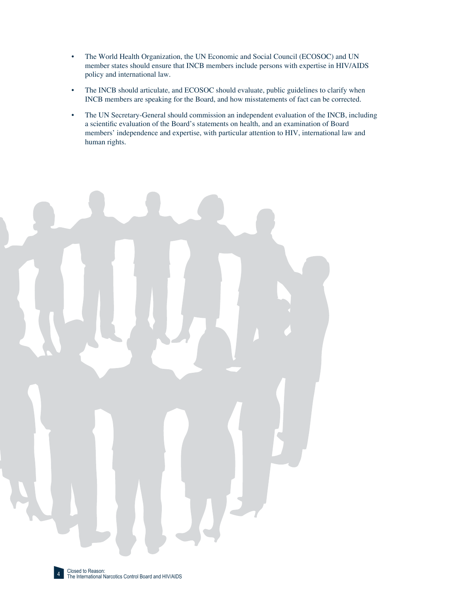- The World Health Organization, the UN Economic and Social Council (ECOSOC) and UN member states should ensure that INCB members include persons with expertise in HIV/AIDS policy and international law.
- The INCB should articulate, and ECOSOC should evaluate, public guidelines to clarify when INCB members are speaking for the Board, and how misstatements of fact can be corrected.
- The UN Secretary-General should commission an independent evaluation of the INCB, including a scientific evaluation of the Board's statements on health, and an examination of Board members' independence and expertise, with particular attention to HIV, international law and human rights.

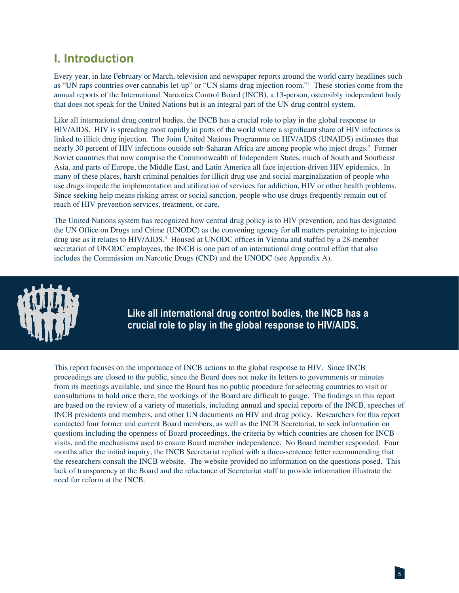# **I. Introduction**

Every year, in late February or March, television and newspaper reports around the world carry headlines such as "UN raps countries over cannabis let-up" or "UN slams drug injection room."1 These stories come from the annual reports of the International Narcotics Control Board (INCB), a 13-person, ostensibly independent body that does not speak for the United Nations but is an integral part of the UN drug control system.

Like all international drug control bodies, the INCB has a crucial role to play in the global response to HIV/AIDS. HIV is spreading most rapidly in parts of the world where a significant share of HIV infections is linked to illicit drug injection. The Joint United Nations Programme on HIV/AIDS (UNAIDS) estimates that nearly 30 percent of HIV infections outside sub-Saharan Africa are among people who inject drugs.2 Former Soviet countries that now comprise the Commonwealth of Independent States, much of South and Southeast Asia, and parts of Europe, the Middle East, and Latin America all face injection-driven HIV epidemics. In many of these places, harsh criminal penalties for illicit drug use and social marginalization of people who use drugs impede the implementation and utilization of services for addiction, HIV or other health problems. Since seeking help means risking arrest or social sanction, people who use drugs frequently remain out of reach of HIV prevention services, treatment, or care.

The United Nations system has recognized how central drug policy is to HIV prevention, and has designated the UN Office on Drugs and Crime (UNODC) as the convening agency for all matters pertaining to injection drug use as it relates to HIV/AIDS.<sup>3</sup> Housed at UNODC offices in Vienna and staffed by a 28-member secretariat of UNODC employees, the INCB is one part of an international drug control effort that also includes the Commission on Narcotic Drugs (CND) and the UNODC (see Appendix A).



**Like all international drug control bodies, the INCB has a crucial role to play in the global response to HIV/AIDS.**

This report focuses on the importance of INCB actions to the global response to HIV. Since INCB proceedings are closed to the public, since the Board does not make its letters to governments or minutes from its meetings available, and since the Board has no public procedure for selecting countries to visit or consultations to hold once there, the workings of the Board are difficult to gauge. The findings in this report are based on the review of a variety of materials, including annual and special reports of the INCB, speeches of INCB presidents and members, and other UN documents on HIV and drug policy. Researchers for this report contacted four former and current Board members, as well as the INCB Secretariat, to seek information on questions including the openness of Board proceedings, the criteria by which countries are chosen for INCB visits, and the mechanisms used to ensure Board member independence. No Board member responded. Four months after the initial inquiry, the INCB Secretariat replied with a three-sentence letter recommending that the researchers consult the INCB website. The website provided no information on the questions posed. This lack of transparency at the Board and the reluctance of Secretariat staff to provide information illustrate the need for reform at the INCB.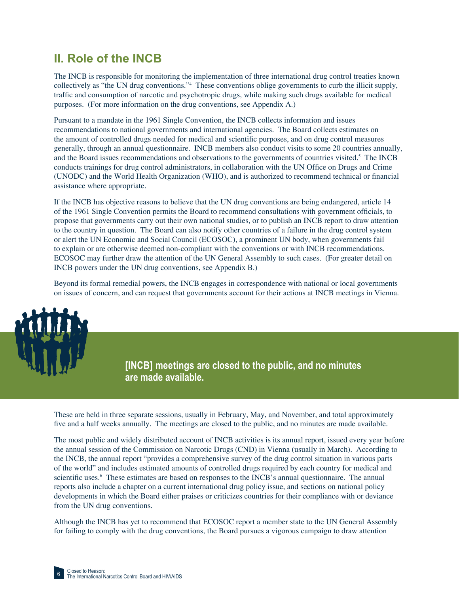# **II. Role of the INCB**

The INCB is responsible for monitoring the implementation of three international drug control treaties known collectively as "the UN drug conventions."4 These conventions oblige governments to curb the illicit supply, traffic and consumption of narcotic and psychotropic drugs, while making such drugs available for medical purposes. (For more information on the drug conventions, see Appendix A.)

Pursuant to a mandate in the 1961 Single Convention, the INCB collects information and issues recommendations to national governments and international agencies. The Board collects estimates on the amount of controlled drugs needed for medical and scientific purposes, and on drug control measures generally, through an annual questionnaire. INCB members also conduct visits to some 20 countries annually, and the Board issues recommendations and observations to the governments of countries visited.<sup>5</sup> The INCB conducts trainings for drug control administrators, in collaboration with the UN Office on Drugs and Crime (UNODC) and the World Health Organization (WHO), and is authorized to recommend technical or financial assistance where appropriate.

If the INCB has objective reasons to believe that the UN drug conventions are being endangered, article 14 of the 1961 Single Convention permits the Board to recommend consultations with government officials, to propose that governments carry out their own national studies, or to publish an INCB report to draw attention to the country in question. The Board can also notify other countries of a failure in the drug control system or alert the UN Economic and Social Council (ECOSOC), a prominent UN body, when governments fail to explain or are otherwise deemed non-compliant with the conventions or with INCB recommendations. ECOSOC may further draw the attention of the UN General Assembly to such cases. (For greater detail on INCB powers under the UN drug conventions, see Appendix B.)

Beyond its formal remedial powers, the INCB engages in correspondence with national or local governments on issues of concern, and can request that governments account for their actions at INCB meetings in Vienna.

> **[INCB] meetings are closed to the public, and no minutes are made available.**

These are held in three separate sessions, usually in February, May, and November, and total approximately five and a half weeks annually. The meetings are closed to the public, and no minutes are made available.

The most public and widely distributed account of INCB activities is its annual report, issued every year before the annual session of the Commission on Narcotic Drugs (CND) in Vienna (usually in March). According to the INCB, the annual report "provides a comprehensive survey of the drug control situation in various parts of the world" and includes estimated amounts of controlled drugs required by each country for medical and scientific uses.<sup>6</sup> These estimates are based on responses to the INCB's annual questionnaire. The annual reports also include a chapter on a current international drug policy issue, and sections on national policy developments in which the Board either praises or criticizes countries for their compliance with or deviance from the UN drug conventions.

Although the INCB has yet to recommend that ECOSOC report a member state to the UN General Assembly for failing to comply with the drug conventions, the Board pursues a vigorous campaign to draw attention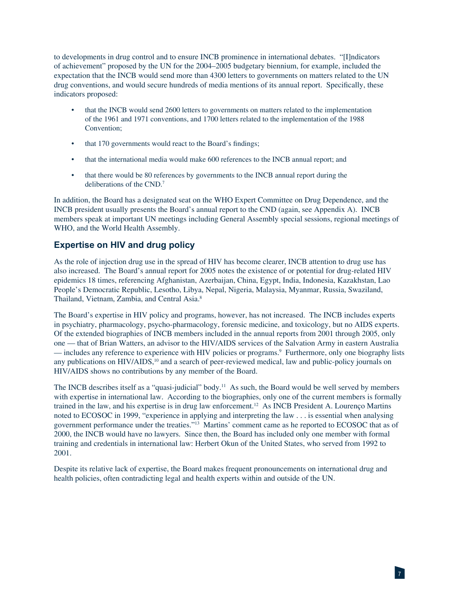to developments in drug control and to ensure INCB prominence in international debates. "[I]ndicators of achievement" proposed by the UN for the 2004–2005 budgetary biennium, for example, included the expectation that the INCB would send more than 4300 letters to governments on matters related to the UN drug conventions, and would secure hundreds of media mentions of its annual report. Specifically, these indicators proposed:

- that the INCB would send 2600 letters to governments on matters related to the implementation of the 1961 and 1971 conventions, and 1700 letters related to the implementation of the 1988 Convention;
- that 170 governments would react to the Board's findings;
- that the international media would make 600 references to the INCB annual report; and
- that there would be 80 references by governments to the INCB annual report during the deliberations of the CND.7

In addition, the Board has a designated seat on the WHO Expert Committee on Drug Dependence, and the INCB president usually presents the Board's annual report to the CND (again, see Appendix A). INCB members speak at important UN meetings including General Assembly special sessions, regional meetings of WHO, and the World Health Assembly.

## **Expertise on HIV and drug policy**

As the role of injection drug use in the spread of HIV has become clearer, INCB attention to drug use has also increased. The Board's annual report for 2005 notes the existence of or potential for drug-related HIV epidemics 18 times, referencing Afghanistan, Azerbaijan, China, Egypt, India, Indonesia, Kazakhstan, Lao People's Democratic Republic, Lesotho, Libya, Nepal, Nigeria, Malaysia, Myanmar, Russia, Swaziland, Thailand, Vietnam, Zambia, and Central Asia.8

The Board's expertise in HIV policy and programs, however, has not increased. The INCB includes experts in psychiatry, pharmacology, psycho-pharmacology, forensic medicine, and toxicology, but no AIDS experts. Of the extended biographies of INCB members included in the annual reports from 2001 through 2005, only one — that of Brian Watters, an advisor to the HIV/AIDS services of the Salvation Army in eastern Australia — includes any reference to experience with HIV policies or programs.9 Furthermore, only one biography lists any publications on HIV/AIDS,<sup>10</sup> and a search of peer-reviewed medical, law and public-policy journals on HIV/AIDS shows no contributions by any member of the Board.

The INCB describes itself as a "quasi-judicial" body.<sup>11</sup> As such, the Board would be well served by members with expertise in international law. According to the biographies, only one of the current members is formally trained in the law, and his expertise is in drug law enforcement.12 As INCB President A. Lourenço Martins noted to ECOSOC in 1999, "experience in applying and interpreting the law . . . is essential when analysing government performance under the treaties."13 Martins' comment came as he reported to ECOSOC that as of 2000, the INCB would have no lawyers. Since then, the Board has included only one member with formal training and credentials in international law: Herbert Okun of the United States, who served from 1992 to 2001.

Despite its relative lack of expertise, the Board makes frequent pronouncements on international drug and health policies, often contradicting legal and health experts within and outside of the UN.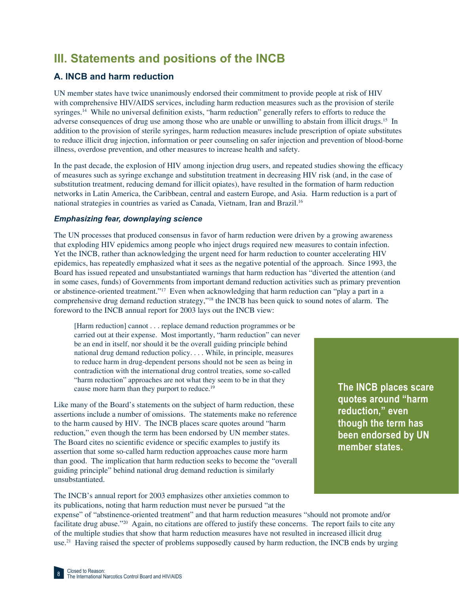# **III. Statements and positions of the INCB**

# **A. INCB and harm reduction**

UN member states have twice unanimously endorsed their commitment to provide people at risk of HIV with comprehensive HIV/AIDS services, including harm reduction measures such as the provision of sterile syringes.<sup>14</sup> While no universal definition exists, "harm reduction" generally refers to efforts to reduce the adverse consequences of drug use among those who are unable or unwilling to abstain from illicit drugs.15 In addition to the provision of sterile syringes, harm reduction measures include prescription of opiate substitutes to reduce illicit drug injection, information or peer counseling on safer injection and prevention of blood-borne illness, overdose prevention, and other measures to increase health and safety.

In the past decade, the explosion of HIV among injection drug users, and repeated studies showing the efficacy of measures such as syringe exchange and substitution treatment in decreasing HIV risk (and, in the case of substitution treatment, reducing demand for illicit opiates), have resulted in the formation of harm reduction networks in Latin America, the Caribbean, central and eastern Europe, and Asia. Harm reduction is a part of national strategies in countries as varied as Canada, Vietnam, Iran and Brazil.16

### *Emphasizing fear, downplaying science*

The UN processes that produced consensus in favor of harm reduction were driven by a growing awareness that exploding HIV epidemics among people who inject drugs required new measures to contain infection. Yet the INCB, rather than acknowledging the urgent need for harm reduction to counter accelerating HIV epidemics, has repeatedly emphasized what it sees as the negative potential of the approach. Since 1993, the Board has issued repeated and unsubstantiated warnings that harm reduction has "diverted the attention (and in some cases, funds) of Governments from important demand reduction activities such as primary prevention or abstinence-oriented treatment."17 Even when acknowledging that harm reduction can "play a part in a comprehensive drug demand reduction strategy,"18 the INCB has been quick to sound notes of alarm. The foreword to the INCB annual report for 2003 lays out the INCB view:

[Harm reduction] cannot . . . replace demand reduction programmes or be carried out at their expense. Most importantly, "harm reduction" can never be an end in itself, nor should it be the overall guiding principle behind national drug demand reduction policy. . . . While, in principle, measures to reduce harm in drug-dependent persons should not be seen as being in contradiction with the international drug control treaties, some so-called "harm reduction" approaches are not what they seem to be in that they cause more harm than they purport to reduce.<sup>19</sup>

Like many of the Board's statements on the subject of harm reduction, these assertions include a number of omissions. The statements make no reference to the harm caused by HIV. The INCB places scare quotes around "harm reduction," even though the term has been endorsed by UN member states. The Board cites no scientific evidence or specific examples to justify its assertion that some so-called harm reduction approaches cause more harm than good. The implication that harm reduction seeks to become the "overall guiding principle" behind national drug demand reduction is similarly unsubstantiated.

The INCB's annual report for 2003 emphasizes other anxieties common to its publications, noting that harm reduction must never be pursued "at the

**The INCB places scare quotes around "harm reduction," even though the term has been endorsed by UN member states.**

expense" of "abstinence-oriented treatment" and that harm reduction measures "should not promote and/or facilitate drug abuse."20 Again, no citations are offered to justify these concerns. The report fails to cite any of the multiple studies that show that harm reduction measures have not resulted in increased illicit drug use.<sup>21</sup> Having raised the specter of problems supposedly caused by harm reduction, the INCB ends by urging

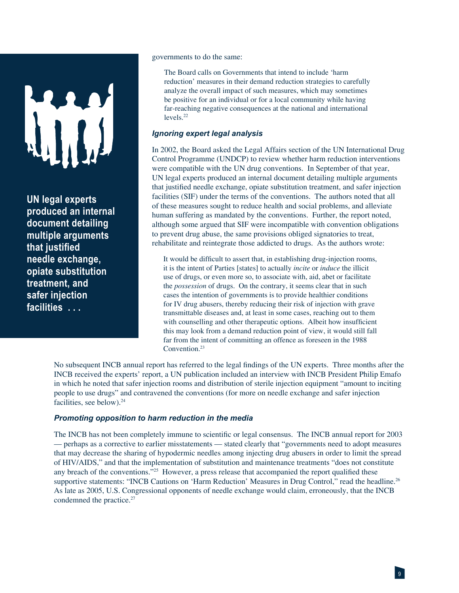**UN legal experts produced an internal document detailing multiple arguments that justified needle exchange, opiate substitution treatment, and safer injection facilities . . .**

governments to do the same:

The Board calls on Governments that intend to include 'harm reduction' measures in their demand reduction strategies to carefully analyze the overall impact of such measures, which may sometimes be positive for an individual or for a local community while having far-reaching negative consequences at the national and international levels.22

### *Ignoring expert legal analysis*

In 2002, the Board asked the Legal Affairs section of the UN International Drug Control Programme (UNDCP) to review whether harm reduction interventions were compatible with the UN drug conventions. In September of that year, UN legal experts produced an internal document detailing multiple arguments that justified needle exchange, opiate substitution treatment, and safer injection facilities (SIF) under the terms of the conventions. The authors noted that all of these measures sought to reduce health and social problems, and alleviate human suffering as mandated by the conventions. Further, the report noted, although some argued that SIF were incompatible with convention obligations to prevent drug abuse, the same provisions obliged signatories to treat, rehabilitate and reintegrate those addicted to drugs. As the authors wrote:

It would be difficult to assert that, in establishing drug-injection rooms, it is the intent of Parties [states] to actually *incite* or *induce* the illicit use of drugs, or even more so, to associate with, aid, abet or facilitate the *possession* of drugs. On the contrary, it seems clear that in such cases the intention of governments is to provide healthier conditions for IV drug abusers, thereby reducing their risk of injection with grave transmittable diseases and, at least in some cases, reaching out to them with counselling and other therapeutic options. Albeit how insufficient this may look from a demand reduction point of view, it would still fall far from the intent of committing an offence as foreseen in the 1988 Convention.<sup>23</sup>

No subsequent INCB annual report has referred to the legal findings of the UN experts. Three months after the INCB received the experts' report, a UN publication included an interview with INCB President Philip Emafo in which he noted that safer injection rooms and distribution of sterile injection equipment "amount to inciting people to use drugs" and contravened the conventions (for more on needle exchange and safer injection facilities, see below).<sup>24</sup>

### *Promoting opposition to harm reduction in the media*

The INCB has not been completely immune to scientific or legal consensus. The INCB annual report for 2003 — perhaps as a corrective to earlier misstatements — stated clearly that "governments need to adopt measures that may decrease the sharing of hypodermic needles among injecting drug abusers in order to limit the spread of HIV/AIDS," and that the implementation of substitution and maintenance treatments "does not constitute any breach of the conventions."<sup>25</sup> However, a press release that accompanied the report qualified these supportive statements: "INCB Cautions on 'Harm Reduction' Measures in Drug Control," read the headline.<sup>26</sup> As late as 2005, U.S. Congressional opponents of needle exchange would claim, erroneously, that the INCB condemned the practice.<sup>27</sup>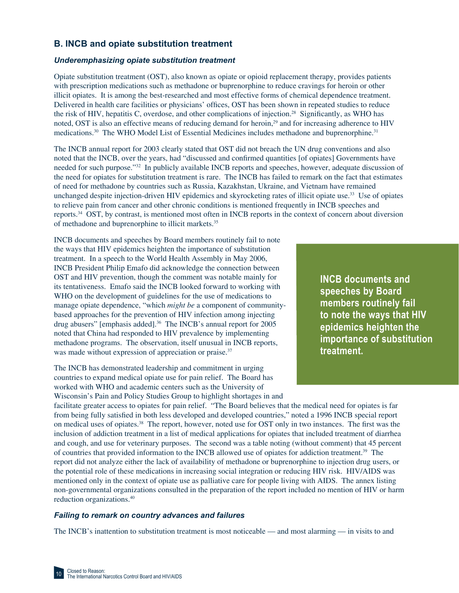# **B. INCB and opiate substitution treatment**

### *Underemphasizing opiate substitution treatment*

Opiate substitution treatment (OST), also known as opiate or opioid replacement therapy, provides patients with prescription medications such as methadone or buprenorphine to reduce cravings for heroin or other illicit opiates. It is among the best-researched and most effective forms of chemical dependence treatment. Delivered in health care facilities or physicians' offices, OST has been shown in repeated studies to reduce the risk of HIV, hepatitis C, overdose, and other complications of injection.<sup>28</sup> Significantly, as WHO has noted, OST is also an effective means of reducing demand for heroin,<sup>29</sup> and for increasing adherence to HIV medications.30 The WHO Model List of Essential Medicines includes methadone and buprenorphine.31

The INCB annual report for 2003 clearly stated that OST did not breach the UN drug conventions and also noted that the INCB, over the years, had "discussed and confirmed quantities [of opiates] Governments have needed for such purpose."32 In publicly available INCB reports and speeches, however, adequate discussion of the need for opiates for substitution treatment is rare. The INCB has failed to remark on the fact that estimates of need for methadone by countries such as Russia, Kazakhstan, Ukraine, and Vietnam have remained unchanged despite injection-driven HIV epidemics and skyrocketing rates of illicit opiate use.33 Use of opiates to relieve pain from cancer and other chronic conditions is mentioned frequently in INCB speeches and reports.34 OST, by contrast, is mentioned most often in INCB reports in the context of concern about diversion of methadone and buprenorphine to illicit markets.35

INCB documents and speeches by Board members routinely fail to note the ways that HIV epidemics heighten the importance of substitution treatment. In a speech to the World Health Assembly in May 2006, INCB President Philip Emafo did acknowledge the connection between OST and HIV prevention, though the comment was notable mainly for its tentativeness. Emafo said the INCB looked forward to working with WHO on the development of guidelines for the use of medications to manage opiate dependence, "which *might be* a component of communitybased approaches for the prevention of HIV infection among injecting drug abusers" [emphasis added].<sup>36</sup> The INCB's annual report for 2005 noted that China had responded to HIV prevalence by implementing methadone programs. The observation, itself unusual in INCB reports, was made without expression of appreciation or praise.<sup>37</sup>

The INCB has demonstrated leadership and commitment in urging countries to expand medical opiate use for pain relief. The Board has worked with WHO and academic centers such as the University of Wisconsin's Pain and Policy Studies Group to highlight shortages in and **INCB documents and speeches by Board members routinely fail to note the ways that HIV epidemics heighten the importance of substitution treatment.**

facilitate greater access to opiates for pain relief. "The Board believes that the medical need for opiates is far from being fully satisfied in both less developed and developed countries," noted a 1996 INCB special report on medical uses of opiates.<sup>38</sup> The report, however, noted use for OST only in two instances. The first was the inclusion of addiction treatment in a list of medical applications for opiates that included treatment of diarrhea and cough, and use for veterinary purposes. The second was a table noting (without comment) that 45 percent of countries that provided information to the INCB allowed use of opiates for addiction treatment.39 The report did not analyze either the lack of availability of methadone or buprenorphine to injection drug users, or the potential role of these medications in increasing social integration or reducing HIV risk. HIV/AIDS was mentioned only in the context of opiate use as palliative care for people living with AIDS. The annex listing non-governmental organizations consulted in the preparation of the report included no mention of HIV or harm reduction organizations.40

### *Failing to remark on country advances and failures*

The INCB's inattention to substitution treatment is most noticeable — and most alarming — in visits to and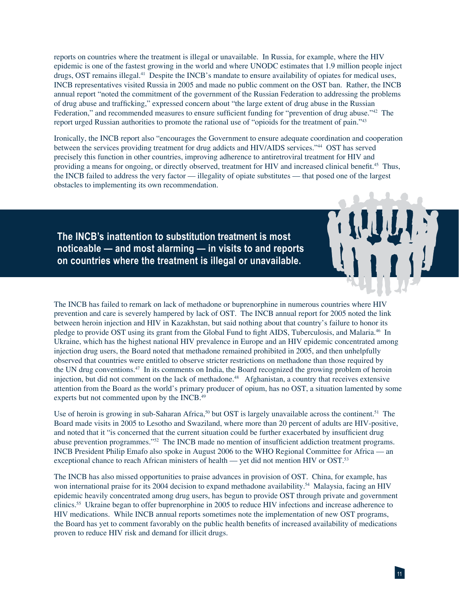reports on countries where the treatment is illegal or unavailable. In Russia, for example, where the HIV epidemic is one of the fastest growing in the world and where UNODC estimates that 1.9 million people inject drugs, OST remains illegal.41 Despite the INCB's mandate to ensure availability of opiates for medical uses, INCB representatives visited Russia in 2005 and made no public comment on the OST ban. Rather, the INCB annual report "noted the commitment of the government of the Russian Federation to addressing the problems of drug abuse and trafficking," expressed concern about "the large extent of drug abuse in the Russian Federation," and recommended measures to ensure sufficient funding for "prevention of drug abuse."<sup>42</sup> The report urged Russian authorities to promote the rational use of "opioids for the treatment of pain."43

Ironically, the INCB report also "encourages the Government to ensure adequate coordination and cooperation between the services providing treatment for drug addicts and HIV/AIDS services."44 OST has served precisely this function in other countries, improving adherence to antiretroviral treatment for HIV and providing a means for ongoing, or directly observed, treatment for HIV and increased clinical benefit.<sup>45</sup> Thus, the INCB failed to address the very factor — illegality of opiate substitutes — that posed one of the largest obstacles to implementing its own recommendation.

**The INCB's inattention to substitution treatment is most noticeable — and most alarming — in visits to and reports on countries where the treatment is illegal or unavailable.**

The INCB has failed to remark on lack of methadone or buprenorphine in numerous countries where HIV prevention and care is severely hampered by lack of OST. The INCB annual report for 2005 noted the link between heroin injection and HIV in Kazakhstan, but said nothing about that country's failure to honor its pledge to provide OST using its grant from the Global Fund to fight AIDS, Tuberculosis, and Malaria.<sup>46</sup> In Ukraine, which has the highest national HIV prevalence in Europe and an HIV epidemic concentrated among injection drug users, the Board noted that methadone remained prohibited in 2005, and then unhelpfully observed that countries were entitled to observe stricter restrictions on methadone than those required by the UN drug conventions.47 In its comments on India, the Board recognized the growing problem of heroin injection, but did not comment on the lack of methadone.<sup>48</sup> Afghanistan, a country that receives extensive attention from the Board as the world's primary producer of opium, has no OST, a situation lamented by some experts but not commented upon by the INCB.49

Use of heroin is growing in sub-Saharan Africa,<sup>50</sup> but OST is largely unavailable across the continent.<sup>51</sup> The Board made visits in 2005 to Lesotho and Swaziland, where more than 20 percent of adults are HIV-positive, and noted that it "is concerned that the current situation could be further exacerbated by insufficient drug abuse prevention programmes."<sup>52</sup> The INCB made no mention of insufficient addiction treatment programs. INCB President Philip Emafo also spoke in August 2006 to the WHO Regional Committee for Africa — an exceptional chance to reach African ministers of health — yet did not mention HIV or OST.53

The INCB has also missed opportunities to praise advances in provision of OST. China, for example, has won international praise for its 2004 decision to expand methadone availability.<sup>54</sup> Malaysia, facing an HIV epidemic heavily concentrated among drug users, has begun to provide OST through private and government clinics.55 Ukraine began to offer buprenorphine in 2005 to reduce HIV infections and increase adherence to HIV medications. While INCB annual reports sometimes note the implementation of new OST programs, the Board has yet to comment favorably on the public health benefits of increased availability of medications proven to reduce HIV risk and demand for illicit drugs.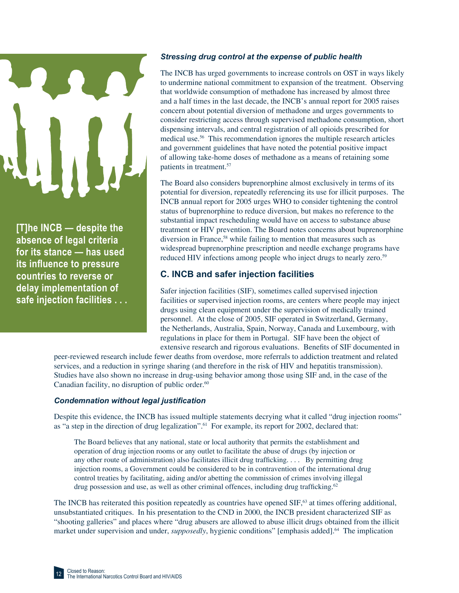

**[T]he INCB — despite the absence of legal criteria for its stance — has used its infl uence to pressure countries to reverse or delay implementation of safe injection facilities . . .**

### *Stressing drug control at the expense of public health*

The INCB has urged governments to increase controls on OST in ways likely to undermine national commitment to expansion of the treatment. Observing that worldwide consumption of methadone has increased by almost three and a half times in the last decade, the INCB's annual report for 2005 raises concern about potential diversion of methadone and urges governments to consider restricting access through supervised methadone consumption, short dispensing intervals, and central registration of all opioids prescribed for medical use.56 This recommendation ignores the multiple research articles and government guidelines that have noted the potential positive impact of allowing take-home doses of methadone as a means of retaining some patients in treatment.57

The Board also considers buprenorphine almost exclusively in terms of its potential for diversion, repeatedly referencing its use for illicit purposes. The INCB annual report for 2005 urges WHO to consider tightening the control status of buprenorphine to reduce diversion, but makes no reference to the substantial impact rescheduling would have on access to substance abuse treatment or HIV prevention. The Board notes concerns about buprenorphine diversion in France,<sup>58</sup> while failing to mention that measures such as widespread buprenorphine prescription and needle exchange programs have reduced HIV infections among people who inject drugs to nearly zero.<sup>59</sup>

### **C. INCB and safer injection facilities**

Safer injection facilities (SIF), sometimes called supervised injection facilities or supervised injection rooms, are centers where people may inject drugs using clean equipment under the supervision of medically trained personnel. At the close of 2005, SIF operated in Switzerland, Germany, the Netherlands, Australia, Spain, Norway, Canada and Luxembourg, with regulations in place for them in Portugal. SIF have been the object of extensive research and rigorous evaluations. Benefits of SIF documented in

peer-reviewed research include fewer deaths from overdose, more referrals to addiction treatment and related services, and a reduction in syringe sharing (and therefore in the risk of HIV and hepatitis transmission). Studies have also shown no increase in drug-using behavior among those using SIF and, in the case of the Canadian facility, no disruption of public order.<sup>60</sup>

### **Condemnation without legal justification**

Despite this evidence, the INCB has issued multiple statements decrying what it called "drug injection rooms" as "a step in the direction of drug legalization".<sup>61</sup> For example, its report for 2002, declared that:

The Board believes that any national, state or local authority that permits the establishment and operation of drug injection rooms or any outlet to facilitate the abuse of drugs (by injection or any other route of administration) also facilitates illicit drug trafficking. . . . By permitting drug injection rooms, a Government could be considered to be in contravention of the international drug control treaties by facilitating, aiding and/or abetting the commission of crimes involving illegal drug possession and use, as well as other criminal offences, including drug trafficking.<sup>62</sup>

The INCB has reiterated this position repeatedly as countries have opened  $SIF<sub>1</sub><sup>63</sup>$  at times offering additional, unsubstantiated critiques. In his presentation to the CND in 2000, the INCB president characterized SIF as "shooting galleries" and places where "drug abusers are allowed to abuse illicit drugs obtained from the illicit market under supervision and under, *supposedly*, hygienic conditions" [emphasis added].<sup>64</sup> The implication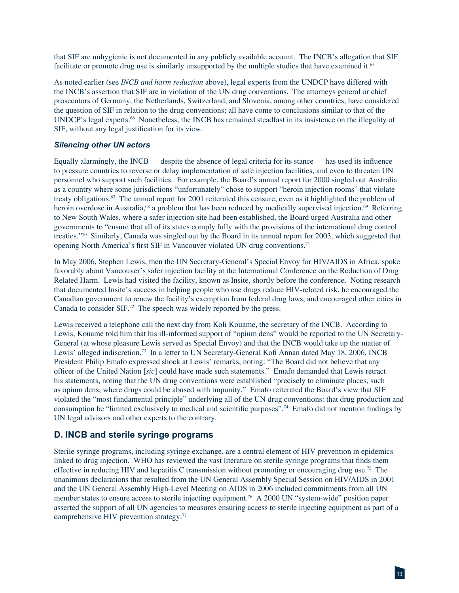that SIF are unhygienic is not documented in any publicly available account. The INCB's allegation that SIF facilitate or promote drug use is similarly unsupported by the multiple studies that have examined it.<sup>65</sup>

As noted earlier (see *INCB and harm reduction* above), legal experts from the UNDCP have differed with the INCB's assertion that SIF are in violation of the UN drug conventions. The attorneys general or chief prosecutors of Germany, the Netherlands, Switzerland, and Slovenia, among other countries, have considered the question of SIF in relation to the drug conventions; all have come to conclusions similar to that of the UNDCP's legal experts.<sup>66</sup> Nonetheless, the INCB has remained steadfast in its insistence on the illegality of SIF, without any legal justification for its view.

### *Silencing other UN actors*

Equally alarmingly, the INCB — despite the absence of legal criteria for its stance — has used its influence to pressure countries to reverse or delay implementation of safe injection facilities, and even to threaten UN personnel who support such facilities. For example, the Board's annual report for 2000 singled out Australia as a country where some jurisdictions "unfortunately" chose to support "heroin injection rooms" that violate treaty obligations.67 The annual report for 2001 reiterated this censure, even as it highlighted the problem of heroin overdose in Australia,<sup>68</sup> a problem that has been reduced by medically supervised injection.<sup>69</sup> Referring to New South Wales, where a safer injection site had been established, the Board urged Australia and other governments to "ensure that all of its states comply fully with the provisions of the international drug control treaties."70 Similarly, Canada was singled out by the Board in its annual report for 2003, which suggested that opening North America's first SIF in Vancouver violated UN drug conventions.<sup>71</sup>

In May 2006, Stephen Lewis, then the UN Secretary-General's Special Envoy for HIV/AIDS in Africa, spoke favorably about Vancouver's safer injection facility at the International Conference on the Reduction of Drug Related Harm. Lewis had visited the facility, known as Insite, shortly before the conference. Noting research that documented Insite's success in helping people who use drugs reduce HIV-related risk, he encouraged the Canadian government to renew the facility's exemption from federal drug laws, and encouraged other cities in Canada to consider SIF.72 The speech was widely reported by the press.

Lewis received a telephone call the next day from Koli Kouame, the secretary of the INCB. According to Lewis, Kouame told him that his ill-informed support of "opium dens" would be reported to the UN Secretary-General (at whose pleasure Lewis served as Special Envoy) and that the INCB would take up the matter of Lewis' alleged indiscretion.<sup>73</sup> In a letter to UN Secretary-General Kofi Annan dated May 18, 2006, INCB President Philip Emafo expressed shock at Lewis' remarks, noting: "The Board did not believe that any officer of the United Nation [sic] could have made such statements." Emafo demanded that Lewis retract his statements, noting that the UN drug conventions were established "precisely to eliminate places, such as opium dens, where drugs could be abused with impunity." Emafo reiterated the Board's view that SIF violated the "most fundamental principle" underlying all of the UN drug conventions: that drug production and consumption be "limited exclusively to medical and scientific purposes".<sup>74</sup> Emafo did not mention findings by UN legal advisors and other experts to the contrary.

### **D. INCB and sterile syringe programs**

Sterile syringe programs, including syringe exchange, are a central element of HIV prevention in epidemics linked to drug injection. WHO has reviewed the vast literature on sterile syringe programs that finds them effective in reducing HIV and hepatitis C transmission without promoting or encouraging drug use.75 The unanimous declarations that resulted from the UN General Assembly Special Session on HIV/AIDS in 2001 and the UN General Assembly High-Level Meeting on AIDS in 2006 included commitments from all UN member states to ensure access to sterile injecting equipment.76 A 2000 UN "system-wide" position paper asserted the support of all UN agencies to measures ensuring access to sterile injecting equipment as part of a comprehensive HIV prevention strategy.77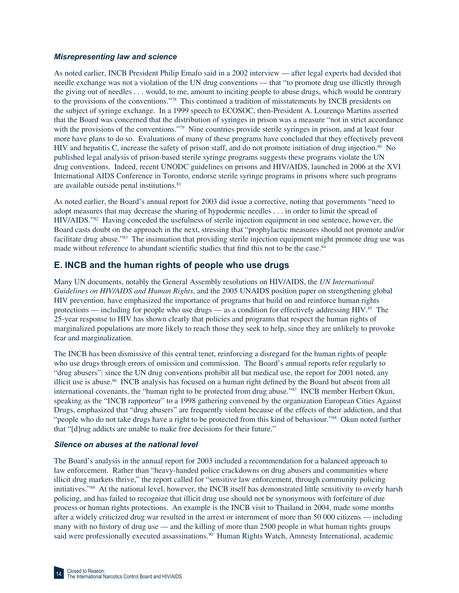### *Misrepresenting law and science*

As noted earlier, INCB President Philip Emafo said in a 2002 interview — after legal experts had decided that needle exchange was not a violation of the UN drug conventions — that "to promote drug use illicitly through the giving out of needles . . . would, to me, amount to inciting people to abuse drugs, which would be contrary to the provisions of the conventions."78 This continued a tradition of misstatements by INCB presidents on the subject of syringe exchange. In a 1999 speech to ECOSOC, then-President A. Lourenço Martins asserted that the Board was concerned that the distribution of syringes in prison was a measure "not in strict accordance with the provisions of the conventions."<sup>79</sup> Nine countries provide sterile syringes in prison, and at least four more have plans to do so. Evaluations of many of these programs have concluded that they effectively prevent HIV and hepatitis C, increase the safety of prison staff, and do not promote initiation of drug injection.80 No published legal analysis of prison-based sterile syringe programs suggests these programs violate the UN drug conventions. Indeed, recent UNODC guidelines on prisons and HIV/AIDS, launched in 2006 at the XVI International AIDS Conference in Toronto, endorse sterile syringe programs in prisons where such programs are available outside penal institutions.81

As noted earlier, the Board's annual report for 2003 did issue a corrective, noting that governments "need to adopt measures that may decrease the sharing of hypodermic needles . . . in order to limit the spread of HIV/AIDS."82 Having conceded the usefulness of sterile injection equipment in one sentence, however, the Board casts doubt on the approach in the next, stressing that "prophylactic measures should not promote and/or facilitate drug abuse."<sup>83</sup> The insinuation that providing sterile injection equipment might promote drug use was made without reference to abundant scientific studies that find this not to be the case. $84$ 

### **E. INCB and the human rights of people who use drugs**

Many UN documents, notably the General Assembly resolutions on HIV/AIDS, the *UN International Guidelines on HIV/AIDS and Human Rights*, and the 2005 UNAIDS position paper on strengthening global HIV prevention, have emphasized the importance of programs that build on and reinforce human rights protections — including for people who use drugs — as a condition for effectively addressing HIV. $^{85}$  The 25-year response to HIV has shown clearly that policies and programs that respect the human rights of marginalized populations are more likely to reach those they seek to help, since they are unlikely to provoke fear and marginalization.

The INCB has been dismissive of this central tenet, reinforcing a disregard for the human rights of people who use drugs through errors of omission and commission. The Board's annual reports refer regularly to "drug abusers": since the UN drug conventions prohibit all but medical use, the report for 2001 noted, any illicit use is abuse.<sup>86</sup> INCB analysis has focused on a human right defined by the Board but absent from all international covenants, the "human right to be protected from drug abuse."87 INCB member Herbert Okun, speaking as the "INCB rapporteur" to a 1998 gathering convened by the organization European Cities Against Drugs, emphasized that "drug abusers" are frequently violent because of the effects of their addiction, and that "people who do not take drugs have a right to be protected from this kind of behaviour."<sup>88</sup> Okun noted further that "[d]rug addicts are unable to make free decisions for their future."

### *Silence on abuses at the national level*

The Board's analysis in the annual report for 2003 included a recommendation for a balanced approach to law enforcement. Rather than "heavy-handed police crackdowns on drug abusers and communities where illicit drug markets thrive," the report called for "sensitive law enforcement, through community policing initiatives."89 At the national level, however, the INCB itself has demonstrated little sensitivity to overly harsh policing, and has failed to recognize that illicit drug use should not be synonymous with forfeiture of due process or human rights protections. An example is the INCB visit to Thailand in 2004, made some months after a widely criticized drug war resulted in the arrest or internment of more than 50 000 citizens — including many with no history of drug use — and the killing of more than 2500 people in what human rights groups said were professionally executed assassinations.<sup>90</sup> Human Rights Watch, Amnesty International, academic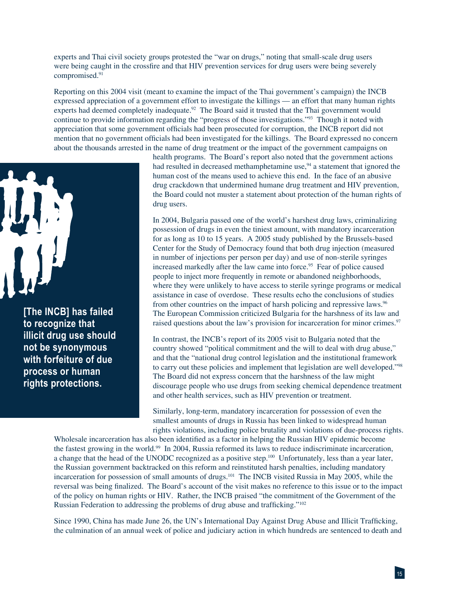experts and Thai civil society groups protested the "war on drugs," noting that small-scale drug users were being caught in the crossfire and that HIV prevention services for drug users were being severely compromised.91

Reporting on this 2004 visit (meant to examine the impact of the Thai government's campaign) the INCB expressed appreciation of a government effort to investigate the killings — an effort that many human rights experts had deemed completely inadequate.<sup>92</sup> The Board said it trusted that the Thai government would continue to provide information regarding the "progress of those investigations."93 Though it noted with appreciation that some government officials had been prosecuted for corruption, the INCB report did not mention that no government officials had been investigated for the killings. The Board expressed no concern about the thousands arrested in the name of drug treatment or the impact of the government campaigns on



**[The INCB] has failed to recognize that illicit drug use should not be synonymous with forfeiture of due process or human rights protections.**

health programs. The Board's report also noted that the government actions had resulted in decreased methamphetamine use,<sup>94</sup> a statement that ignored the human cost of the means used to achieve this end. In the face of an abusive drug crackdown that undermined humane drug treatment and HIV prevention, the Board could not muster a statement about protection of the human rights of drug users.

In 2004, Bulgaria passed one of the world's harshest drug laws, criminalizing possession of drugs in even the tiniest amount, with mandatory incarceration for as long as 10 to 15 years. A 2005 study published by the Brussels-based Center for the Study of Democracy found that both drug injection (measured in number of injections per person per day) and use of non-sterile syringes increased markedly after the law came into force.<sup>95</sup> Fear of police caused people to inject more frequently in remote or abandoned neighborhoods, where they were unlikely to have access to sterile syringe programs or medical assistance in case of overdose. These results echo the conclusions of studies from other countries on the impact of harsh policing and repressive laws.<sup>96</sup> The European Commission criticized Bulgaria for the harshness of its law and raised questions about the law's provision for incarceration for minor crimes.<sup>97</sup>

In contrast, the INCB's report of its 2005 visit to Bulgaria noted that the country showed "political commitment and the will to deal with drug abuse," and that the "national drug control legislation and the institutional framework to carry out these policies and implement that legislation are well developed."<sup>98</sup> The Board did not express concern that the harshness of the law might discourage people who use drugs from seeking chemical dependence treatment and other health services, such as HIV prevention or treatment.

Similarly, long-term, mandatory incarceration for possession of even the smallest amounts of drugs in Russia has been linked to widespread human rights violations, including police brutality and violations of due-process rights.

Wholesale incarceration has also been identified as a factor in helping the Russian HIV epidemic become the fastest growing in the world.99 In 2004, Russia reformed its laws to reduce indiscriminate incarceration, a change that the head of the UNODC recognized as a positive step.100 Unfortunately, less than a year later, the Russian government backtracked on this reform and reinstituted harsh penalties, including mandatory incarceration for possession of small amounts of drugs.<sup>101</sup> The INCB visited Russia in May 2005, while the reversal was being finalized. The Board's account of the visit makes no reference to this issue or to the impact of the policy on human rights or HIV. Rather, the INCB praised "the commitment of the Government of the Russian Federation to addressing the problems of drug abuse and trafficking."<sup>102</sup>

Since 1990, China has made June 26, the UN's International Day Against Drug Abuse and Illicit Trafficking, the culmination of an annual week of police and judiciary action in which hundreds are sentenced to death and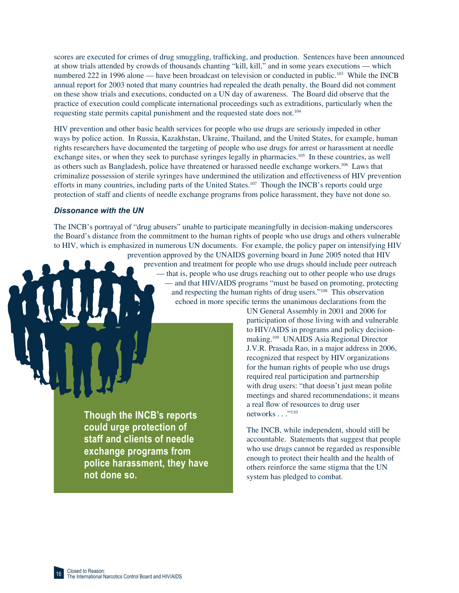scores are executed for crimes of drug smuggling, trafficking, and production. Sentences have been announced at show trials attended by crowds of thousands chanting "kill, kill," and in some years executions — which numbered 222 in 1996 alone — have been broadcast on television or conducted in public.<sup>103</sup> While the INCB annual report for 2003 noted that many countries had repealed the death penalty, the Board did not comment on these show trials and executions, conducted on a UN day of awareness. The Board did observe that the practice of execution could complicate international proceedings such as extraditions, particularly when the requesting state permits capital punishment and the requested state does not.104

HIV prevention and other basic health services for people who use drugs are seriously impeded in other ways by police action. In Russia, Kazakhstan, Ukraine, Thailand, and the United States, for example, human rights researchers have documented the targeting of people who use drugs for arrest or harassment at needle exchange sites, or when they seek to purchase syringes legally in pharmacies.<sup>105</sup> In these countries, as well as others such as Bangladesh, police have threatened or harassed needle exchange workers.106 Laws that criminalize possession of sterile syringes have undermined the utilization and effectiveness of HIV prevention efforts in many countries, including parts of the United States.<sup>107</sup> Though the INCB's reports could urge protection of staff and clients of needle exchange programs from police harassment, they have not done so.

### *Dissonance with the UN*

The INCB's portrayal of "drug abusers" unable to participate meaningfully in decision-making underscores the Board's distance from the commitment to the human rights of people who use drugs and others vulnerable to HIV, which is emphasized in numerous UN documents. For example, the policy paper on intensifying HIV prevention approved by the UNAIDS governing board in June 2005 noted that HIV

prevention and treatment for people who use drugs should include peer outreach — that is, people who use drugs reaching out to other people who use drugs — and that HIV/AIDS programs "must be based on promoting, protecting and respecting the human rights of drug users."<sup>108</sup> This observation echoed in more specific terms the unanimous declarations from the

**Though the INCB's reports could urge protection of staff and clients of needle exchange programs from police harassment, they have not done so.**

UN General Assembly in 2001 and 2006 for participation of those living with and vulnerable to HIV/AIDS in programs and policy decisionmaking.109 UNAIDS Asia Regional Director J.V.R. Prasada Rao, in a major address in 2006, recognized that respect by HIV organizations for the human rights of people who use drugs required real participation and partnership with drug users: "that doesn't just mean polite meetings and shared recommendations; it means a real flow of resources to drug user networks . . ."<sup>110</sup>

The INCB, while independent, should still be accountable. Statements that suggest that people who use drugs cannot be regarded as responsible enough to protect their health and the health of others reinforce the same stigma that the UN system has pledged to combat.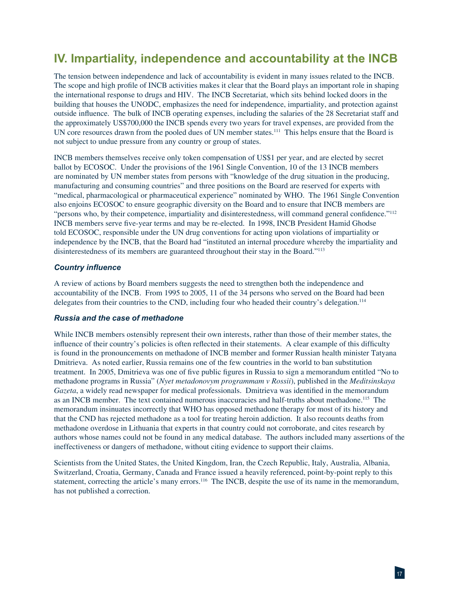# **IV. Impartiality, independence and accountability at the INCB**

The tension between independence and lack of accountability is evident in many issues related to the INCB. The scope and high profile of INCB activities makes it clear that the Board plays an important role in shaping the international response to drugs and HIV. The INCB Secretariat, which sits behind locked doors in the building that houses the UNODC, emphasizes the need for independence, impartiality, and protection against outside influence. The bulk of INCB operating expenses, including the salaries of the 28 Secretariat staff and the approximately US\$700,000 the INCB spends every two years for travel expenses, are provided from the UN core resources drawn from the pooled dues of UN member states.<sup>111</sup> This helps ensure that the Board is not subject to undue pressure from any country or group of states.

INCB members themselves receive only token compensation of US\$1 per year, and are elected by secret ballot by ECOSOC. Under the provisions of the 1961 Single Convention, 10 of the 13 INCB members are nominated by UN member states from persons with "knowledge of the drug situation in the producing, manufacturing and consuming countries" and three positions on the Board are reserved for experts with "medical, pharmacological or pharmaceutical experience" nominated by WHO. The 1961 Single Convention also enjoins ECOSOC to ensure geographic diversity on the Board and to ensure that INCB members are "persons who, by their competence, impartiality and disinterestedness, will command general confidence."<sup>112</sup> INCB members serve five-year terms and may be re-elected. In 1998, INCB President Hamid Ghodse told ECOSOC, responsible under the UN drug conventions for acting upon violations of impartiality or independence by the INCB, that the Board had "instituted an internal procedure whereby the impartiality and disinterestedness of its members are guaranteed throughout their stay in the Board."113

### **Country influence**

A review of actions by Board members suggests the need to strengthen both the independence and accountability of the INCB. From 1995 to 2005, 11 of the 34 persons who served on the Board had been delegates from their countries to the CND, including four who headed their country's delegation.<sup>114</sup>

### *Russia and the case of methadone*

While INCB members ostensibly represent their own interests, rather than those of their member states, the influence of their country's policies is often reflected in their statements. A clear example of this difficulty is found in the pronouncements on methadone of INCB member and former Russian health minister Tatyana Dmitrieva. As noted earlier, Russia remains one of the few countries in the world to ban substitution treatment. In 2005, Dmitrieva was one of five public figures in Russia to sign a memorandum entitled "No to methadone programs in Russia" (*Nyet metadonovym programmam v Rossii*), published in the *Meditsinskaya Gazeta*, a widely read newspaper for medical professionals. Dmitrieva was identified in the memorandum as an INCB member. The text contained numerous inaccuracies and half-truths about methadone.115 The memorandum insinuates incorrectly that WHO has opposed methadone therapy for most of its history and that the CND has rejected methadone as a tool for treating heroin addiction. It also recounts deaths from methadone overdose in Lithuania that experts in that country could not corroborate, and cites research by authors whose names could not be found in any medical database. The authors included many assertions of the ineffectiveness or dangers of methadone, without citing evidence to support their claims.

Scientists from the United States, the United Kingdom, Iran, the Czech Republic, Italy, Australia, Albania, Switzerland, Croatia, Germany, Canada and France issued a heavily referenced, point-by-point reply to this statement, correcting the article's many errors.<sup>116</sup> The INCB, despite the use of its name in the memorandum, has not published a correction.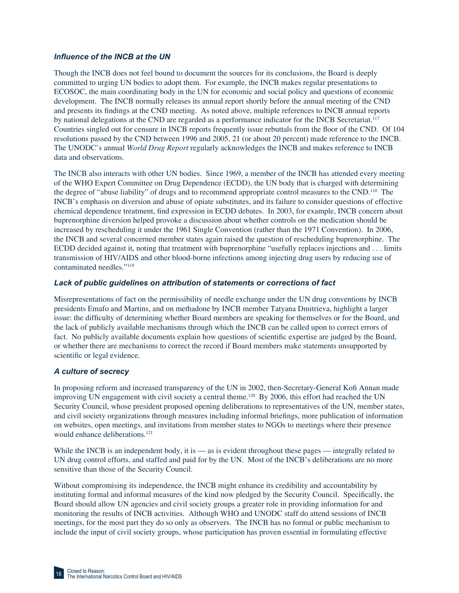### *Infl uence of the INCB at the UN*

Though the INCB does not feel bound to document the sources for its conclusions, the Board is deeply committed to urging UN bodies to adopt them. For example, the INCB makes regular presentations to ECOSOC, the main coordinating body in the UN for economic and social policy and questions of economic development. The INCB normally releases its annual report shortly before the annual meeting of the CND and presents its findings at the CND meeting. As noted above, multiple references to INCB annual reports by national delegations at the CND are regarded as a performance indicator for the INCB Secretariat.<sup>117</sup> Countries singled out for censure in INCB reports frequently issue rebuttals from the floor of the CND. Of 104 resolutions passed by the CND between 1996 and 2005, 21 (or about 20 percent) made reference to the INCB. The UNODC's annual *World Drug Report* regularly acknowledges the INCB and makes reference to INCB data and observations.

The INCB also interacts with other UN bodies. Since 1969, a member of the INCB has attended every meeting of the WHO Expert Committee on Drug Dependence (ECDD), the UN body that is charged with determining the degree of "abuse liability" of drugs and to recommend appropriate control measures to the CND.<sup>118</sup> The INCB's emphasis on diversion and abuse of opiate substitutes, and its failure to consider questions of effective chemical dependence treatment, find expression in ECDD debates. In 2003, for example, INCB concern about buprenorphine diversion helped provoke a discussion about whether controls on the medication should be increased by rescheduling it under the 1961 Single Convention (rather than the 1971 Convention). In 2006, the INCB and several concerned member states again raised the question of rescheduling buprenorphine. The ECDD decided against it, noting that treatment with buprenorphine "usefully replaces injections and . . . limits transmission of HIV/AIDS and other blood-borne infections among injecting drug users by reducing use of contaminated needles."119

### *Lack of public guidelines on attribution of statements or corrections of fact*

Misrepresentations of fact on the permissibility of needle exchange under the UN drug conventions by INCB presidents Emafo and Martins, and on methadone by INCB member Tatyana Dmitrieva, highlight a larger issue: the difficulty of determining whether Board members are speaking for themselves or for the Board, and the lack of publicly available mechanisms through which the INCB can be called upon to correct errors of fact. No publicly available documents explain how questions of scientific expertise are judged by the Board, or whether there are mechanisms to correct the record if Board members make statements unsupported by scientific or legal evidence.

### *A culture of secrecy*

In proposing reform and increased transparency of the UN in 2002, then-Secretary-General Kofi Annan made improving UN engagement with civil society a central theme.<sup>120</sup> By 2006, this effort had reached the UN Security Council, whose president proposed opening deliberations to representatives of the UN, member states, and civil society organizations through measures including informal briefings, more publication of information on websites, open meetings, and invitations from member states to NGOs to meetings where their presence would enhance deliberations.<sup>121</sup>

While the INCB is an independent body, it is — as is evident throughout these pages — integrally related to UN drug control efforts, and staffed and paid for by the UN. Most of the INCB's deliberations are no more sensitive than those of the Security Council.

Without compromising its independence, the INCB might enhance its credibility and accountability by instituting formal and informal measures of the kind now pledged by the Security Council. Specifically, the Board should allow UN agencies and civil society groups a greater role in providing information for and monitoring the results of INCB activities. Although WHO and UNODC staff do attend sessions of INCB meetings, for the most part they do so only as observers. The INCB has no formal or public mechanism to include the input of civil society groups, whose participation has proven essential in formulating effective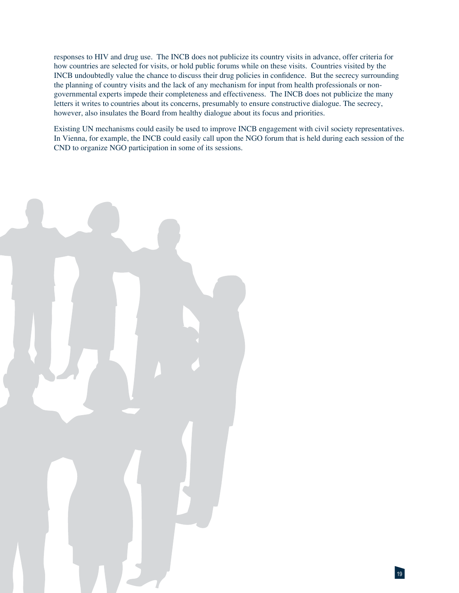responses to HIV and drug use. The INCB does not publicize its country visits in advance, offer criteria for how countries are selected for visits, or hold public forums while on these visits. Countries visited by the INCB undoubtedly value the chance to discuss their drug policies in confidence. But the secrecy surrounding the planning of country visits and the lack of any mechanism for input from health professionals or nongovernmental experts impede their completeness and effectiveness. The INCB does not publicize the many letters it writes to countries about its concerns, presumably to ensure constructive dialogue. The secrecy, however, also insulates the Board from healthy dialogue about its focus and priorities.

Existing UN mechanisms could easily be used to improve INCB engagement with civil society representatives. In Vienna, for example, the INCB could easily call upon the NGO forum that is held during each session of the CND to organize NGO participation in some of its sessions.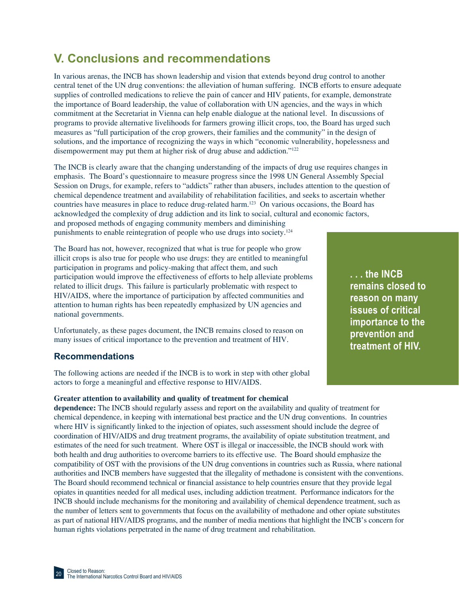# **V. Conclusions and recommendations**

In various arenas, the INCB has shown leadership and vision that extends beyond drug control to another central tenet of the UN drug conventions: the alleviation of human suffering. INCB efforts to ensure adequate supplies of controlled medications to relieve the pain of cancer and HIV patients, for example, demonstrate the importance of Board leadership, the value of collaboration with UN agencies, and the ways in which commitment at the Secretariat in Vienna can help enable dialogue at the national level. In discussions of programs to provide alternative livelihoods for farmers growing illicit crops, too, the Board has urged such measures as "full participation of the crop growers, their families and the community" in the design of solutions, and the importance of recognizing the ways in which "economic vulnerability, hopelessness and disempowerment may put them at higher risk of drug abuse and addiction."<sup>122</sup>

The INCB is clearly aware that the changing understanding of the impacts of drug use requires changes in emphasis. The Board's questionnaire to measure progress since the 1998 UN General Assembly Special Session on Drugs, for example, refers to "addicts" rather than abusers, includes attention to the question of chemical dependence treatment and availability of rehabilitation facilities, and seeks to ascertain whether countries have measures in place to reduce drug-related harm.123 On various occasions, the Board has acknowledged the complexity of drug addiction and its link to social, cultural and economic factors, and proposed methods of engaging community members and diminishing punishments to enable reintegration of people who use drugs into society.124

The Board has not, however, recognized that what is true for people who grow illicit crops is also true for people who use drugs: they are entitled to meaningful participation in programs and policy-making that affect them, and such participation would improve the effectiveness of efforts to help alleviate problems related to illicit drugs. This failure is particularly problematic with respect to HIV/AIDS, where the importance of participation by affected communities and attention to human rights has been repeatedly emphasized by UN agencies and national governments.

Unfortunately, as these pages document, the INCB remains closed to reason on many issues of critical importance to the prevention and treatment of HIV.

### **Recommendations**

The following actions are needed if the INCB is to work in step with other global actors to forge a meaningful and effective response to HIV/AIDS.

### **Greater attention to availability and quality of treatment for chemical**

**dependence:** The INCB should regularly assess and report on the availability and quality of treatment for chemical dependence, in keeping with international best practice and the UN drug conventions. In countries where HIV is significantly linked to the injection of opiates, such assessment should include the degree of coordination of HIV/AIDS and drug treatment programs, the availability of opiate substitution treatment, and estimates of the need for such treatment. Where OST is illegal or inaccessible, the INCB should work with both health and drug authorities to overcome barriers to its effective use. The Board should emphasize the compatibility of OST with the provisions of the UN drug conventions in countries such as Russia, where national authorities and INCB members have suggested that the illegality of methadone is consistent with the conventions. The Board should recommend technical or financial assistance to help countries ensure that they provide legal opiates in quantities needed for all medical uses, including addiction treatment. Performance indicators for the INCB should include mechanisms for the monitoring and availability of chemical dependence treatment, such as the number of letters sent to governments that focus on the availability of methadone and other opiate substitutes as part of national HIV/AIDS programs, and the number of media mentions that highlight the INCB's concern for human rights violations perpetrated in the name of drug treatment and rehabilitation.

**. . . the INCB remains closed to reason on many issues of critical importance to the prevention and treatment of HIV.**

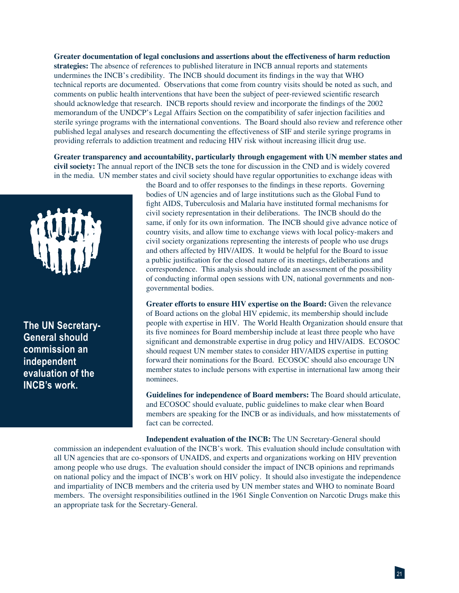**Greater documentation of legal conclusions and assertions about the effectiveness of harm reduction strategies:** The absence of references to published literature in INCB annual reports and statements undermines the INCB's credibility. The INCB should document its findings in the way that WHO technical reports are documented. Observations that come from country visits should be noted as such, and comments on public health interventions that have been the subject of peer-reviewed scientific research should acknowledge that research. INCB reports should review and incorporate the findings of the 2002 memorandum of the UNDCP's Legal Affairs Section on the compatibility of safer injection facilities and sterile syringe programs with the international conventions. The Board should also review and reference other published legal analyses and research documenting the effectiveness of SIF and sterile syringe programs in providing referrals to addiction treatment and reducing HIV risk without increasing illicit drug use.

**Greater transparency and accountability, particularly through engagement with UN member states and civil society:** The annual report of the INCB sets the tone for discussion in the CND and is widely covered in the media. UN member states and civil society should have regular opportunities to exchange ideas with



**The UN Secretary-General should commission an independent evaluation of the INCB's work.**

the Board and to offer responses to the findings in these reports. Governing bodies of UN agencies and of large institutions such as the Global Fund to fight AIDS, Tuberculosis and Malaria have instituted formal mechanisms for civil society representation in their deliberations. The INCB should do the same, if only for its own information. The INCB should give advance notice of country visits, and allow time to exchange views with local policy-makers and civil society organizations representing the interests of people who use drugs and others affected by HIV/AIDS. It would be helpful for the Board to issue a public justification for the closed nature of its meetings, deliberations and correspondence. This analysis should include an assessment of the possibility of conducting informal open sessions with UN, national governments and nongovernmental bodies.

**Greater efforts to ensure HIV expertise on the Board:** Given the relevance of Board actions on the global HIV epidemic, its membership should include people with expertise in HIV. The World Health Organization should ensure that its five nominees for Board membership include at least three people who have significant and demonstrable expertise in drug policy and HIV/AIDS. ECOSOC should request UN member states to consider HIV/AIDS expertise in putting forward their nominations for the Board. ECOSOC should also encourage UN member states to include persons with expertise in international law among their nominees.

**Guidelines for independence of Board members:** The Board should articulate, and ECOSOC should evaluate, public guidelines to make clear when Board members are speaking for the INCB or as individuals, and how misstatements of fact can be corrected.

**Independent evaluation of the INCB:** The UN Secretary-General should commission an independent evaluation of the INCB's work. This evaluation should include consultation with all UN agencies that are co-sponsors of UNAIDS, and experts and organizations working on HIV prevention among people who use drugs. The evaluation should consider the impact of INCB opinions and reprimands on national policy and the impact of INCB's work on HIV policy. It should also investigate the independence and impartiality of INCB members and the criteria used by UN member states and WHO to nominate Board members. The oversight responsibilities outlined in the 1961 Single Convention on Narcotic Drugs make this an appropriate task for the Secretary-General.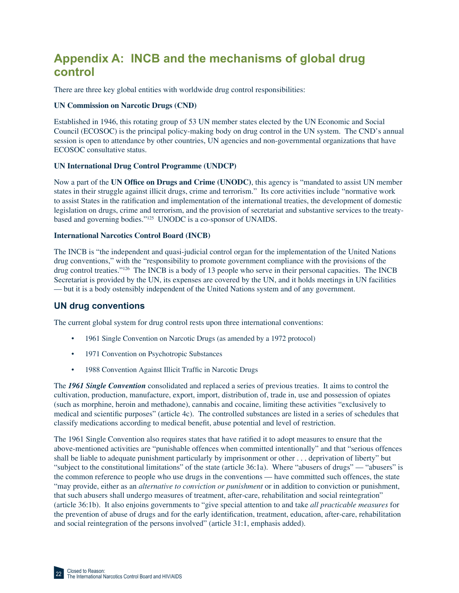# **Appendix A: INCB and the mechanisms of global drug control**

There are three key global entities with worldwide drug control responsibilities:

### **UN Commission on Narcotic Drugs (CND)**

Established in 1946, this rotating group of 53 UN member states elected by the UN Economic and Social Council (ECOSOC) is the principal policy-making body on drug control in the UN system. The CND's annual session is open to attendance by other countries, UN agencies and non-governmental organizations that have ECOSOC consultative status.

### **UN International Drug Control Programme (UNDCP)**

Now a part of the **UN Office on Drugs and Crime (UNODC)**, this agency is "mandated to assist UN member states in their struggle against illicit drugs, crime and terrorism." Its core activities include "normative work to assist States in the ratification and implementation of the international treaties, the development of domestic legislation on drugs, crime and terrorism, and the provision of secretariat and substantive services to the treatybased and governing bodies."125 UNODC is a co-sponsor of UNAIDS.

### **International Narcotics Control Board (INCB)**

The INCB is "the independent and quasi-judicial control organ for the implementation of the United Nations drug conventions," with the "responsibility to promote government compliance with the provisions of the drug control treaties."126 The INCB is a body of 13 people who serve in their personal capacities. The INCB Secretariat is provided by the UN, its expenses are covered by the UN, and it holds meetings in UN facilities — but it is a body ostensibly independent of the United Nations system and of any government.

### **UN drug conventions**

The current global system for drug control rests upon three international conventions:

- 1961 Single Convention on Narcotic Drugs (as amended by a 1972 protocol)
- 1971 Convention on Psychotropic Substances
- 1988 Convention Against Illicit Traffic in Narcotic Drugs

The *1961 Single Convention* consolidated and replaced a series of previous treaties. It aims to control the cultivation, production, manufacture, export, import, distribution of, trade in, use and possession of opiates (such as morphine, heroin and methadone), cannabis and cocaine, limiting these activities "exclusively to medical and scientific purposes" (article 4c). The controlled substances are listed in a series of schedules that classify medications according to medical benefit, abuse potential and level of restriction.

The 1961 Single Convention also requires states that have ratified it to adopt measures to ensure that the above-mentioned activities are "punishable offences when committed intentionally" and that "serious offences shall be liable to adequate punishment particularly by imprisonment or other . . . deprivation of liberty" but "subject to the constitutional limitations" of the state (article 36:1a). Where "abusers of drugs" — "abusers" is the common reference to people who use drugs in the conventions — have committed such offences, the state "may provide, either as an *alternative to conviction or punishment* or in addition to conviction or punishment, that such abusers shall undergo measures of treatment, after-care, rehabilitation and social reintegration" (article 36:1b). It also enjoins governments to "give special attention to and take *all practicable measures* for the prevention of abuse of drugs and for the early identification, treatment, education, after-care, rehabilitation and social reintegration of the persons involved" (article 31:1, emphasis added).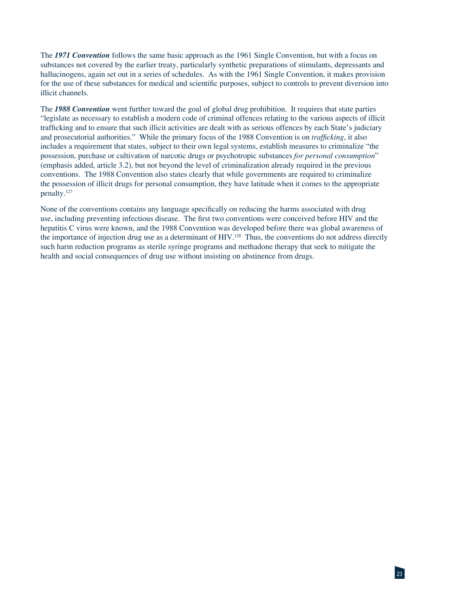The *1971 Convention* follows the same basic approach as the 1961 Single Convention, but with a focus on substances not covered by the earlier treaty, particularly synthetic preparations of stimulants, depressants and hallucinogens, again set out in a series of schedules. As with the 1961 Single Convention, it makes provision for the use of these substances for medical and scientific purposes, subject to controls to prevent diversion into illicit channels.

The *1988 Convention* went further toward the goal of global drug prohibition. It requires that state parties "legislate as necessary to establish a modern code of criminal offences relating to the various aspects of illicit trafficking and to ensure that such illicit activities are dealt with as serious offences by each State's judiciary and prosecutorial authorities." While the primary focus of the 1988 Convention is on *trafficking*, it also includes a requirement that states, subject to their own legal systems, establish measures to criminalize "the possession, purchase or cultivation of narcotic drugs or psychotropic substances *for personal consumption*" (emphasis added, article 3.2), but not beyond the level of criminalization already required in the previous conventions. The 1988 Convention also states clearly that while governments are required to criminalize the possession of illicit drugs for personal consumption, they have latitude when it comes to the appropriate penalty.127

None of the conventions contains any language specifically on reducing the harms associated with drug use, including preventing infectious disease. The first two conventions were conceived before HIV and the hepatitis C virus were known, and the 1988 Convention was developed before there was global awareness of the importance of injection drug use as a determinant of HIV.<sup>128</sup> Thus, the conventions do not address directly such harm reduction programs as sterile syringe programs and methadone therapy that seek to mitigate the health and social consequences of drug use without insisting on abstinence from drugs.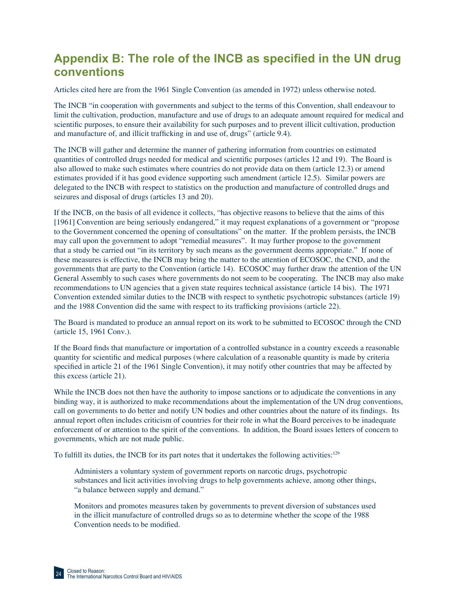# Appendix B: The role of the INCB as specified in the UN drug **conventions**

Articles cited here are from the 1961 Single Convention (as amended in 1972) unless otherwise noted.

The INCB "in cooperation with governments and subject to the terms of this Convention, shall endeavour to limit the cultivation, production, manufacture and use of drugs to an adequate amount required for medical and scientific purposes, to ensure their availability for such purposes and to prevent illicit cultivation, production and manufacture of, and illicit trafficking in and use of, drugs" (article 9.4).

The INCB will gather and determine the manner of gathering information from countries on estimated quantities of controlled drugs needed for medical and scientific purposes (articles 12 and 19). The Board is also allowed to make such estimates where countries do not provide data on them (article 12.3) or amend estimates provided if it has good evidence supporting such amendment (article 12.5). Similar powers are delegated to the INCB with respect to statistics on the production and manufacture of controlled drugs and seizures and disposal of drugs (articles 13 and 20).

If the INCB, on the basis of all evidence it collects, "has objective reasons to believe that the aims of this [1961] Convention are being seriously endangered," it may request explanations of a government or "propose to the Government concerned the opening of consultations" on the matter. If the problem persists, the INCB may call upon the government to adopt "remedial measures". It may further propose to the government that a study be carried out "in its territory by such means as the government deems appropriate." If none of these measures is effective, the INCB may bring the matter to the attention of ECOSOC, the CND, and the governments that are party to the Convention (article 14). ECOSOC may further draw the attention of the UN General Assembly to such cases where governments do not seem to be cooperating. The INCB may also make recommendations to UN agencies that a given state requires technical assistance (article 14 bis). The 1971 Convention extended similar duties to the INCB with respect to synthetic psychotropic substances (article 19) and the 1988 Convention did the same with respect to its trafficking provisions (article 22).

The Board is mandated to produce an annual report on its work to be submitted to ECOSOC through the CND (article 15, 1961 Conv.).

If the Board finds that manufacture or importation of a controlled substance in a country exceeds a reasonable quantity for scientific and medical purposes (where calculation of a reasonable quantity is made by criteria specified in article 21 of the 1961 Single Convention), it may notify other countries that may be affected by this excess (article 21).

While the INCB does not then have the authority to impose sanctions or to adjudicate the conventions in any binding way, it is authorized to make recommendations about the implementation of the UN drug conventions, call on governments to do better and notify UN bodies and other countries about the nature of its findings. Its annual report often includes criticism of countries for their role in what the Board perceives to be inadequate enforcement of or attention to the spirit of the conventions. In addition, the Board issues letters of concern to governments, which are not made public.

To fulfill its duties, the INCB for its part notes that it undertakes the following activities:<sup>129</sup>

Administers a voluntary system of government reports on narcotic drugs, psychotropic substances and licit activities involving drugs to help governments achieve, among other things, "a balance between supply and demand."

Monitors and promotes measures taken by governments to prevent diversion of substances used in the illicit manufacture of controlled drugs so as to determine whether the scope of the 1988 Convention needs to be modified.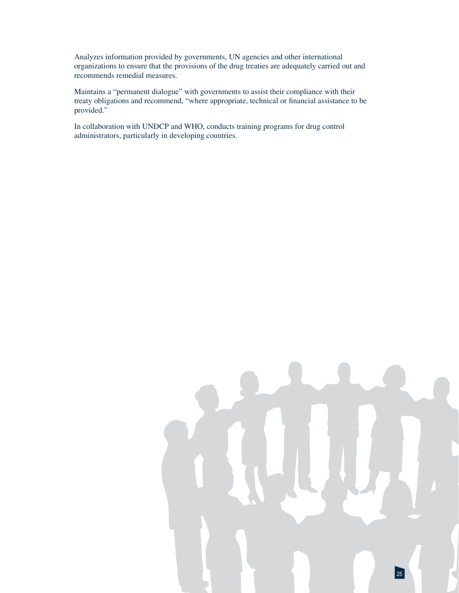Analyzes information provided by governments, UN agencies and other international organizations to ensure that the provisions of the drug treaties are adequately carried out and recommends remedial measures.

Maintains a "permanent dialogue" with governments to assist their compliance with their treaty obligations and recommend, "where appropriate, technical or financial assistance to be provided."

In collaboration with UNDCP and WHO, conducts training programs for drug control administrators, particularly in developing countries.

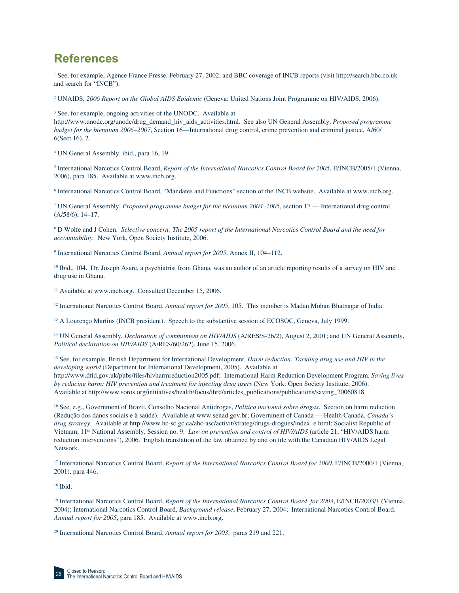# **References**

<sup>1</sup> See, for example, Agence France Presse, February 27, 2002, and BBC coverage of INCB reports (visit http://search.bbc.co.uk and search for "INCB").

2 UNAIDS, *2006 Report on the Global AIDS Epidemic* (Geneva: United Nations Joint Programme on HIV/AIDS, 2006).

3 See, for example, ongoing activities of the UNODC. Available at

http://www.unodc.org/unodc/drug\_demand\_hiv\_aids\_activities.html. See also UN General Assembly, *Proposed programme budget for the biennium 2006–2007*, Section 16—International drug control, crime prevention and criminal justice, A/60/ 6(Sect.16), 2.

4 UN General Assembly, ibid., para 16, 19.

<sup>5</sup> International Narcotics Control Board, *Report of the International Narcotics Control Board for 2005*, E/INCB/2005/1 (Vienna, 2006), para 185. Available at www.incb.org.

6 International Narcotics Control Board, "Mandates and Functions" section of the INCB website. Available at www.incb.org.

7 UN General Assembly, *Proposed programme budget for the biennium 2004–2005*, section 17 — International drug control (A/58/6), 14–17.

8 D Wolfe and J Cohen. *Selective concern: The 2005 report of the International Narcotics Control Board and the need for accountability.* New York, Open Society Institute, 2006.

9 International Narcotics Control Board, *Annual report for 2005*, Annex II, 104–112.

<sup>10</sup> Ibid., 104. Dr. Joseph Asare, a psychiatrist from Ghana, was an author of an article reporting results of a survey on HIV and drug use in Ghana.

<sup>11</sup> Available at www.incb.org. Consulted December 15, 2006.

<sup>12</sup> International Narcotics Control Board, *Annual report for 2005*, 105. This member is Madan Mohan Bhatnagar of India.

<sup>13</sup> A Lourenço Martins (INCB president). Speech to the substantive session of ECOSOC, Geneva, July 1999.

<sup>14</sup> UN General Assembly, *Declaration of commitment on HIV/AIDS* (A/RES/S-26/2), August 2, 2001; and UN General Assembly, *Political declaration on HIV/AIDS* (A/RES/60/262), June 15, 2006.

15 See, for example, British Department for International Development, *Harm reduction: Tackling drug use and HIV in the developing world* (Department for International Development, 2005). Available at http://www.dfi d.gov.uk/pubs/fi les/hivharmreduction2005.pdf; International Harm Reduction Development Program, *Saving lives by reducing harm: HIV prevention and treatment for injecting drug users* (New York: Open Society Institute, 2006). Available at http://www.soros.org/initiatives/health/focus/ihrd/articles\_publications/publications/saving\_20060818.

16 See, e.g., Government of Brazil, Conselho Nacional Antidrogas, *Politica nacional sobre drogas*. Section on harm reduction (Redução dos danos sociais e à saúde). Available at www.senad.gov.br; Government of Canada — Health Canada, *Canada's drug strategy*. Available at http://www.hc-sc.gc.ca/ahc-asc/activit/strateg/drugs-drogues/index\_e.html; Socialist Republic of Vietnam, 11<sup>th</sup> National Assembly, Session no. 9. *Law on prevention and control of HIV/AIDS* (article 21, "HIV/AIDS harm reduction interventions"), 2006. English translation of the law obtained by and on file with the Canadian HIV/AIDS Legal Network.

<sup>17</sup> International Narcotics Control Board, *Report of the International Narcotics Control Board for 2000*, E/INCB/2000/1 (Vienna, 2001), para 446.

<sup>18</sup> Ibid.

<sup>19</sup> International Narcotics Control Board, *Report of the International Narcotics Control Board for 2003*, E/INCB/2003/1 (Vienna, 2004); International Narcotics Control Board, *Background release*, February 27, 2004; International Narcotics Control Board, *Annual report for 2005*, para 185. Available at www.incb.org.

20 International Narcotics Control Board, *Annual report for 2003*, paras 219 and 221.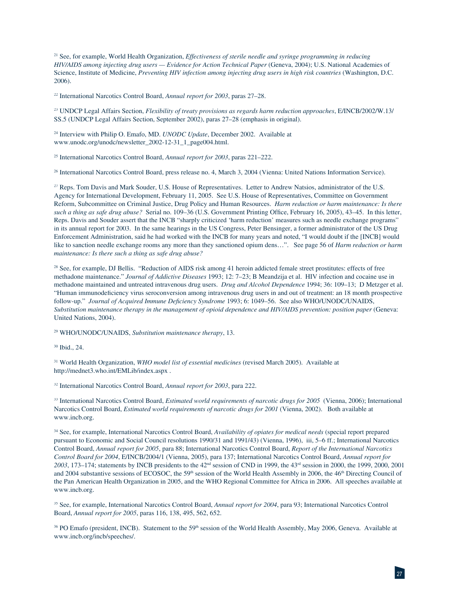21 See, for example, World Health Organization, *Effectiveness of sterile needle and syringe programming in reducing HIV/AIDS among injecting drug users — Evidence for Action Technical Paper* (Geneva, 2004); U.S. National Academies of Science, Institute of Medicine, *Preventing HIV infection among injecting drug users in high risk countries* (Washington, D.C. 2006).

22 International Narcotics Control Board, *Annual report for 2003*, paras 27–28.

23 UNDCP Legal Affairs Section, *Flexibility of treaty provisions as regards harm reduction approaches*, E/INCB/2002/W.13/ SS.5 (UNDCP Legal Affairs Section, September 2002), paras 27–28 (emphasis in original).

24 Interview with Philip O. Emafo, MD. *UNODC Update*, December 2002. Available at www.unodc.org/unodc/newsletter\_2002-12-31\_1\_page004.html.

25 International Narcotics Control Board, *Annual report for 2003*, paras 221–222.

26 International Narcotics Control Board, press release no. 4, March 3, 2004 (Vienna: United Nations Information Service).

<sup>27</sup> Reps. Tom Davis and Mark Souder, U.S. House of Representatives. Letter to Andrew Natsios, administrator of the U.S. Agency for International Development, February 11, 2005. See U.S. House of Representatives, Committee on Government Reform, Subcommittee on Criminal Justice, Drug Policy and Human Resources. *Harm reduction or harm maintenance: Is there*  such a thing as safe drug abuse? Serial no. 109–36 (U.S. Government Printing Office, February 16, 2005), 43–45. In this letter, Reps. Davis and Souder assert that the INCB "sharply criticized 'harm reduction' measures such as needle exchange programs" in its annual report for 2003. In the same hearings in the US Congress, Peter Bensinger, a former administrator of the US Drug Enforcement Administration, said he had worked with the INCB for many years and noted, "I would doubt if the [INCB] would like to sanction needle exchange rooms any more than they sanctioned opium dens…". See page 56 of *Harm reduction or harm maintenance: Is there such a thing as safe drug abuse?*

<sup>28</sup> See, for example, DJ Bellis. "Reduction of AIDS risk among 41 heroin addicted female street prostitutes: effects of free methadone maintenance." *Journal of Addictive Diseases* 1993; 12: 7–23; B Meandzija et al. HIV infection and cocaine use in methadone maintained and untreated intravenous drug users. *Drug and Alcohol Dependence* 1994; 36: 109–13; D Metzger et al. "Human immunodeficiency virus seroconversion among intravenous drug users in and out of treatment: an 18 month prospective follow-up." *Journal of Acquired Immune Deficiency Syndrome* 1993; 6: 1049–56. See also WHO/UNODC/UNAIDS, *Substitution maintenance therapy in the management of opioid dependence and HIV/AIDS prevention: position paper* (Geneva: United Nations, 2004).

29 WHO/UNODC/UNAIDS, *Substitution maintenance therapy*, 13.

30 Ibid., 24.

31 World Health Organization, *WHO model list of essential medicines* (revised March 2005). Available at http://mednet3.who.int/EMLib/index.aspx .

32 International Narcotics Control Board, *Annual report for 2003*, para 222.

33 International Narcotics Control Board, *Estimated world requirements of narcotic drugs for 2005* (Vienna, 2006); International Narcotics Control Board, *Estimated world requirements of narcotic drugs for 2001* (Vienna, 2002). Both available at www.incb.org.

34 See, for example, International Narcotics Control Board, *Availability of opiates for medical needs* (special report prepared pursuant to Economic and Social Council resolutions 1990/31 and 1991/43) (Vienna, 1996), iii, 5–6 ff.; International Narcotics Control Board, *Annual report for 2005*, para 88; International Narcotics Control Board, *Report of the International Narcotics Control Board for 2004*, E/INCB/2004/1 (Vienna, 2005), para 137; International Narcotics Control Board, *Annual report for 2003*, 173–174; statements by INCB presidents to the 42nd session of CND in 1999, the 43rd session in 2000, the 1999, 2000, 2001 and 2004 substantive sessions of ECOSOC, the 59<sup>th</sup> session of the World Health Assembly in 2006, the 46<sup>th</sup> Directing Council of the Pan American Health Organization in 2005, and the WHO Regional Committee for Africa in 2006. All speeches available at www.incb.org.

35 See, for example, International Narcotics Control Board, *Annual report for 2004*, para 93; International Narcotics Control Board, *Annual report for 2005*, paras 116, 138, 495, 562, 652.

<sup>36</sup> PO Emafo (president, INCB). Statement to the 59<sup>th</sup> session of the World Health Assembly, May 2006, Geneva. Available at www.incb.org/incb/speeches/.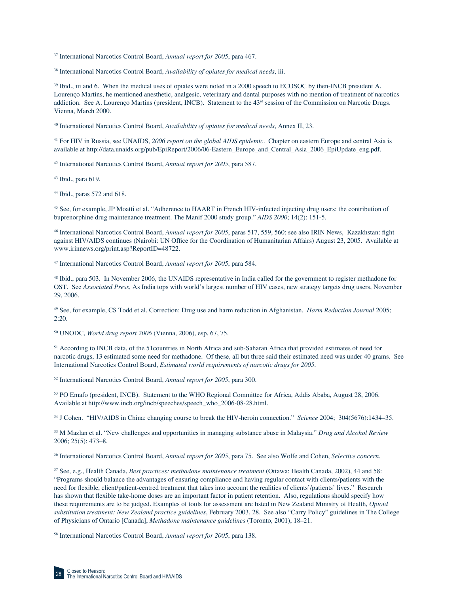37 International Narcotics Control Board, *Annual report for 2005*, para 467.

38 International Narcotics Control Board, *Availability of opiates for medical needs*, iii.

<sup>39</sup> Ibid., iii and 6. When the medical uses of opiates were noted in a 2000 speech to ECOSOC by then-INCB president A. Lourenço Martins, he mentioned anesthetic, analgesic, veterinary and dental purposes with no mention of treatment of narcotics addiction. See A. Lourenço Martins (president, INCB). Statement to the 43<sup>rd</sup> session of the Commission on Narcotic Drugs. Vienna, March 2000.

40 International Narcotics Control Board, *Availability of opiates for medical needs*, Annex II, 23.

41 For HIV in Russia, see UNAIDS, *2006 report on the global AIDS epidemic*. Chapter on eastern Europe and central Asia is available at http://data.unaids.org/pub/EpiReport/2006/06-Eastern\_Europe\_and\_Central\_Asia\_2006\_EpiUpdate\_eng.pdf.

42 International Narcotics Control Board, *Annual report for 2005*, para 587.

43 Ibid., para 619.

44 Ibid., paras 572 and 618.

45 See, for example, JP Moatti et al. "Adherence to HAART in French HIV-infected injecting drug users: the contribution of buprenorphine drug maintenance treatment. The Manif 2000 study group." *AIDS 2000*; 14(2): 151-5.

<sup>46</sup> International Narcotics Control Board, *Annual report for 2005*, paras 517, 559, 560; see also IRIN News, Kazakhstan: fight against HIV/AIDS continues (Nairobi: UN Office for the Coordination of Humanitarian Affairs) August 23, 2005. Available at www.irinnews.org/print.asp?ReportID=48722.

47 International Narcotics Control Board, *Annual report for 2005*, para 584.

48 Ibid., para 503. In November 2006, the UNAIDS representative in India called for the government to register methadone for OST. See *Associated Press*, As India tops with world's largest number of HIV cases, new strategy targets drug users, November 29, 2006.

49 See, for example, CS Todd et al. Correction: Drug use and harm reduction in Afghanistan. *Harm Reduction Journal* 2005; 2:20.

50 UNODC, *World drug report 2006* (Vienna, 2006), esp. 67, 75.

51 According to INCB data, of the 51countries in North Africa and sub-Saharan Africa that provided estimates of need for narcotic drugs, 13 estimated some need for methadone. Of these, all but three said their estimated need was under 40 grams. See International Narcotics Control Board, *Estimated world requirements of narcotic drugs for 2005*.

52 International Narcotics Control Board, *Annual report for 2005*, para 300.

53 PO Emafo (president, INCB). Statement to the WHO Regional Committee for Africa, Addis Ababa, August 28, 2006. Available at http://www.incb.org/incb/speeches/speech\_who\_2006-08-28.html.

54 J Cohen. "HIV/AIDS in China: changing course to break the HIV-heroin connection." *Science* 2004; 304(5676):1434–35.

55 M Mazlan et al. "New challenges and opportunities in managing substance abuse in Malaysia." *Drug and Alcohol Review* 2006; 25(5): 473–8.

56 International Narcotics Control Board, *Annual report for 2005*, para 75. See also Wolfe and Cohen, *Selective concern*.

57 See, e.g., Health Canada, *Best practices: methadone maintenance treatment* (Ottawa: Health Canada, 2002), 44 and 58: "Programs should balance the advantages of ensuring compliance and having regular contact with clients/patients with the need for flexible, client/patient-centred treatment that takes into account the realities of clients'/patients' lives." Research has shown that flexible take-home doses are an important factor in patient retention. Also, regulations should specify how these requirements are to be judged. Examples of tools for assessment are listed in New Zealand Ministry of Health, *Opioid substitution treatment: New Zealand practice guidelines*, February 2003, 28. See also "Carry Policy" guidelines in The College of Physicians of Ontario [Canada], *Methadone maintenance guidelines* (Toronto, 2001), 18–21.

58 International Narcotics Control Board, *Annual report for 2005*, para 138.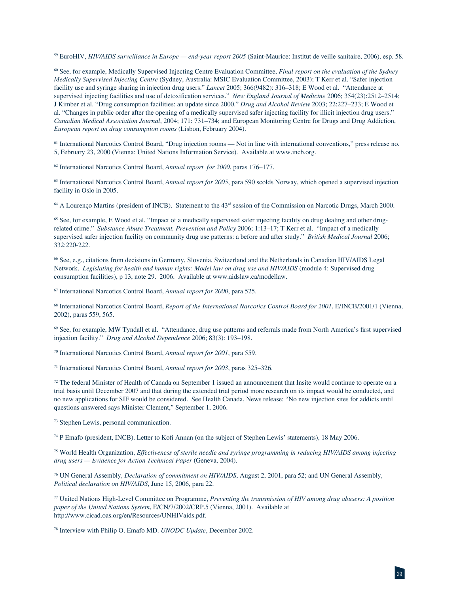59 EuroHIV, *HIV/AIDS surveillance in Europe — end-year report 2005* (Saint-Maurice: Institut de veille sanitaire, 2006), esp. 58.

60 See, for example, Medically Supervised Injecting Centre Evaluation Committee, *Final report on the evaluation of the Sydney Medically Supervised Injecting Centre* (Sydney, Australia: MSIC Evaluation Committee, 2003); T Kerr et al. "Safer injection facility use and syringe sharing in injection drug users." *Lancet* 2005; 366(9482): 316–318; E Wood et al. "Attendance at supervised injecting facilities and use of detoxification services." *New England Journal of Medicine* 2006; 354(23):2512–2514; J Kimber et al. "Drug consumption facilities: an update since 2000." *Drug and Alcohol Review* 2003; 22:227–233; E Wood et al. "Changes in public order after the opening of a medically supervised safer injecting facility for illicit injection drug users." *Canadian Medical Association Journal*, 2004; 171: 731–734; and European Monitoring Centre for Drugs and Drug Addiction, *European report on drug consumption rooms* (Lisbon, February 2004).

61 International Narcotics Control Board, "Drug injection rooms — Not in line with international conventions," press release no. 5, February 23, 2000 (Vienna: United Nations Information Service). Available at www.incb.org.

62 International Narcotics Control Board, *Annual report for 2000*, paras 176–177.

<sup>63</sup> International Narcotics Control Board, *Annual report for 2005*, para 590 scolds Norway, which opened a supervised injection facility in Oslo in 2005.

 $64$  A Lourenço Martins (president of INCB). Statement to the  $43<sup>rd</sup>$  session of the Commission on Narcotic Drugs, March 2000.

<sup>65</sup> See, for example, E Wood et al. "Impact of a medically supervised safer injecting facility on drug dealing and other drugrelated crime." *Substance Abuse Treatment, Prevention and Policy* 2006; 1:13–17; T Kerr et al. "Impact of a medically supervised safer injection facility on community drug use patterns: a before and after study." *British Medical Journal* 2006; 332:220-222.

66 See, e.g., citations from decisions in Germany, Slovenia, Switzerland and the Netherlands in Canadian HIV/AIDS Legal Network. *Legislating for health and human rights: Model law on drug use and HIV/AIDS* (module 4: Supervised drug consumption facilities), p 13, note 29. 2006. Available at www.aidslaw.ca/modellaw.

67 International Narcotics Control Board, *Annual report for 2000*, para 525.

68 International Narcotics Control Board, *Report of the International Narcotics Control Board for 2001*, E/INCB/2001/1 (Vienna, 2002), paras 559, 565.

<sup>69</sup> See, for example, MW Tyndall et al. "Attendance, drug use patterns and referrals made from North America's first supervised injection facility." *Drug and Alcohol Dependence* 2006; 83(3): 193–198.

70 International Narcotics Control Board, *Annual report for 2001*, para 559.

71 International Narcotics Control Board, *Annual report for 2003*, paras 325–326.

 $72$  The federal Minister of Health of Canada on September 1 issued an announcement that Insite would continue to operate on a trial basis until December 2007 and that during the extended trial period more research on its impact would be conducted, and no new applications for SIF would be considered. See Health Canada, News release: "No new injection sites for addicts until questions answered says Minister Clement," September 1, 2006.

73 Stephen Lewis, personal communication.

74 P Emafo (president, INCB). Letter to Kofi Annan (on the subject of Stephen Lewis' statements), 18 May 2006.

75 World Health Organization, *Effectiveness of sterile needle and syringe programming in reducing HIV/AIDS among injecting drug users — Evidence for Action Technical Paper* (Geneva, 2004).

76 UN General Assembly, *Declaration of commitment on HIV/AIDS*, August 2, 2001, para 52; and UN General Assembly, *Political declaration on HIV/AIDS*, June 15, 2006, para 22.

77 United Nations High-Level Committee on Programme, *Preventing the transmission of HIV among drug abusers: A position paper of the United Nations System*, E/CN/7/2002/CRP.5 (Vienna, 2001). Available at http://www.cicad.oas.org/en/Resources/UNHIVaids.pdf.

78 Interview with Philip O. Emafo MD. *UNODC Update*, December 2002.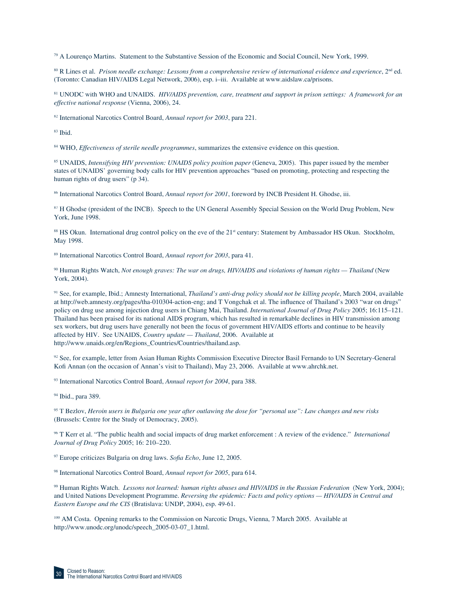79 A Lourenço Martins. Statement to the Substantive Session of the Economic and Social Council, New York, 1999.

80 R Lines et al. *Prison needle exchange: Lessons from a comprehensive review of international evidence and experience*, 2nd ed. (Toronto: Canadian HIV/AIDS Legal Network, 2006), esp. i–iii. Available at www.aidslaw.ca/prisons.

81 UNODC with WHO and UNAIDS. *HIV/AIDS prevention, care, treatment and support in prison settings: A framework for an effective national response* (Vienna, 2006), 24.

82 International Narcotics Control Board, *Annual report for 2003*, para 221.

83 Ibid.

84 WHO, *Effectiveness of sterile needle programmes*, summarizes the extensive evidence on this question.

85 UNAIDS, *Intensifying HIV prevention: UNAIDS policy position paper* (Geneva, 2005). This paper issued by the member states of UNAIDS' governing body calls for HIV prevention approaches "based on promoting, protecting and respecting the human rights of drug users" (p 34).

86 International Narcotics Control Board, *Annual report for 2001*, foreword by INCB President H. Ghodse, iii.

87 H Ghodse (president of the INCB). Speech to the UN General Assembly Special Session on the World Drug Problem, New York, June 1998.

88 HS Okun. International drug control policy on the eve of the 21<sup>st</sup> century: Statement by Ambassador HS Okun. Stockholm, May 1998.

89 International Narcotics Control Board, *Annual report for 2003*, para 41.

90 Human Rights Watch, *Not enough graves: The war on drugs, HIV/AIDS and violations of human rights — Thailand* (New York, 2004).

91 See, for example, Ibid.; Amnesty International, *Thailand's anti-drug policy should not be killing people*, March 2004, available at http://web.amnesty.org/pages/tha-010304-action-eng; and T Vongchak et al. The influence of Thailand's 2003 "war on drugs" policy on drug use among injection drug users in Chiang Mai, Thailand. *International Journal of Drug Policy* 2005; 16:115–121. Thailand has been praised for its national AIDS program, which has resulted in remarkable declines in HIV transmission among sex workers, but drug users have generally not been the focus of government HIV/AIDS efforts and continue to be heavily affected by HIV. See UNAIDS, *Country update — Thailand*, 2006. Available at http://www.unaids.org/en/Regions\_Countries/Countries/thailand.asp.

92 See, for example, letter from Asian Human Rights Commission Executive Director Basil Fernando to UN Secretary-General Kofi Annan (on the occasion of Annan's visit to Thailand), May 23, 2006. Available at www.ahrchk.net.

93 International Narcotics Control Board, *Annual report for 2004*, para 388.

<sup>94</sup> Ibid., para 389.

95 T Bezlov, *Heroin users in Bulgaria one year after outlawing the dose for "personal use": Law changes and new risks* (Brussels: Centre for the Study of Democracy, 2005).

96 T Kerr et al. "The public health and social impacts of drug market enforcement : A review of the evidence." *International Journal of Drug Policy* 2005; 16: 210–220.

<sup>97</sup> Europe criticizes Bulgaria on drug laws. *Sofia Echo*, June 12, 2005.

98 International Narcotics Control Board, *Annual report for 2005*, para 614.

99 Human Rights Watch. *Lessons not learned: human rights abuses and HIV/AIDS in the Russian Federation* (New York, 2004); and United Nations Development Programme. *Reversing the epidemic: Facts and policy options — HIV/AIDS in Central and Eastern Europe and the CIS* (Bratislava: UNDP, 2004), esp. 49-61.

<sup>100</sup> AM Costa. Opening remarks to the Commission on Narcotic Drugs, Vienna, 7 March 2005. Available at http://www.unodc.org/unodc/speech\_2005-03-07\_1.html.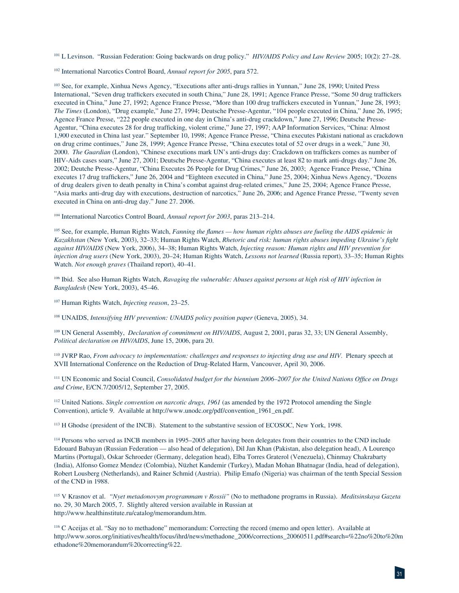101 L Levinson. "Russian Federation: Going backwards on drug policy." *HIV/AIDS Policy and Law Review* 2005; 10(2): 27–28.

102 International Narcotics Control Board, *Annual report for 2005*, para 572.

103 See, for example, Xinhua News Agency, "Executions after anti-drugs rallies in Yunnan," June 28, 1990; United Press International, "Seven drug traffickers executed in south China," June 28, 1991; Agence France Presse, "Some 50 drug traffickers executed in China," June 27, 1992; Agence France Presse, "More than 100 drug traffickers executed in Yunnan," June 28, 1993; *The Times* (London), "Drug example," June 27, 1994; Deutsche Presse-Agentur, "104 people executed in China," June 26, 1995; Agence France Presse, "222 people executed in one day in China's anti-drug crackdown," June 27, 1996; Deutsche Presse-Agentur, "China executes 28 for drug trafficking, violent crime," June 27, 1997; AAP Information Services, "China: Almost 1,900 executed in China last year." September 10, 1998; Agence France Presse, "China executes Pakistani national as crackdown on drug crime continues," June 28, 1999; Agence France Presse, "China executes total of 52 over drugs in a week," June 30, 2000. *The Guardian* (London), "Chinese executions mark UN's anti-drugs day: Crackdown on traffickers comes as number of HIV-Aids cases soars," June 27, 2001; Deutsche Presse-Agentur, "China executes at least 82 to mark anti-drugs day." June 26, 2002; Deutche Presse-Agentur, "China Executes 26 People for Drug Crimes," June 26, 2003; Agence France Presse, "China executes 17 drug traffickers," June 26, 2004 and "Eighteen executed in China," June 25, 2004; Xinhua News Agency, "Dozens of drug dealers given to death penalty in China's combat against drug-related crimes," June 25, 2004; Agence France Presse, "Asia marks anti-drug day with executions, destruction of narcotics," June 26, 2006; and Agence France Presse, "Twenty seven executed in China on anti-drug day." June 27. 2006.

104 International Narcotics Control Board, *Annual report for 2003*, paras 213–214.

<sup>105</sup> See, for example, Human Rights Watch, *Fanning the flames — how human rights abuses are fueling the AIDS epidemic in Kazakhstan* (New York, 2003), 32–33; Human Rights Watch, *Rhetoric and risk: human rights abuses impeding Ukraine's fight against HIV/AIDS* (New York, 2006), 34–38; Human Rights Watch, *Injecting reason: Human rights and HIV prevention for injection drug users* (New York, 2003), 20–24; Human Rights Watch, *Lessons not learned* (Russia report), 33–35; Human Rights Watch. *Not enough graves* (Thailand report), 40–41.

106 Ibid. See also Human Rights Watch, *Ravaging the vulnerable: Abuses against persons at high risk of HIV infection in Bangladesh* (New York, 2003), 45–46.

107 Human Rights Watch, *Injecting reason*, 23–25.

108 UNAIDS, *Intensifying HIV prevention: UNAIDS policy position paper* (Geneva, 2005), 34.

109 UN General Assembly, *Declaration of commitment on HIV/AIDS*, August 2, 2001, paras 32, 33; UN General Assembly, *Political declaration on HIV/AIDS*, June 15, 2006, para 20.

110 JVRP Rao, *From advocacy to implementation: challenges and responses to injecting drug use and HIV*. Plenary speech at XVII International Conference on the Reduction of Drug-Related Harm, Vancouver, April 30, 2006.

<sup>111</sup> UN Economic and Social Council, *Consolidated budget for the biennium 2006–2007 for the United Nations Office on Drugs and Crime*, E/CN.7/2005/12, September 27, 2005.

112 United Nations. *Single convention on narcotic drugs, 1961* (as amended by the 1972 Protocol amending the Single Convention), article 9. Available at http://www.unodc.org/pdf/convention\_1961\_en.pdf.

<sup>113</sup> H Ghodse (president of the INCB). Statement to the substantive session of ECOSOC, New York, 1998.

114 Persons who served as INCB members in 1995–2005 after having been delegates from their countries to the CND include Edouard Babayan (Russian Federation — also head of delegation), Dil Jan Khan (Pakistan, also delegation head), A Lourenço Martins (Portugal), Oskar Schroeder (Germany, delegation head), Elba Torres Graterol (Venezuela), Chinmay Chakrabarty (India), Alfonso Gomez Mendez (Colombia), Nüzhet Kandemir (Turkey), Madan Mohan Bhatnagar (India, head of delegation), Robert Lousberg (Netherlands), and Rainer Schmid (Austria). Philip Emafo (Nigeria) was chairman of the tenth Special Session of the CND in 1988.

115 V Krasnov et al. *"Nyet metadonovym programmam v Rossii"* (No to methadone programs in Russia). *Meditsinskaya Gazeta* no. 29, 30 March 2005, 7. Slightly altered version available in Russian at http://www.healthinstitute.ru/catalog/memorandum.htm.

116 C Aceijas et al. "Say no to methadone" memorandum: Correcting the record (memo and open letter). Available at http://www.soros.org/initiatives/health/focus/ihrd/news/methadone\_2006/corrections\_20060511.pdf#search=%22no%20to%20m ethadone%20memorandum%20correcting%22.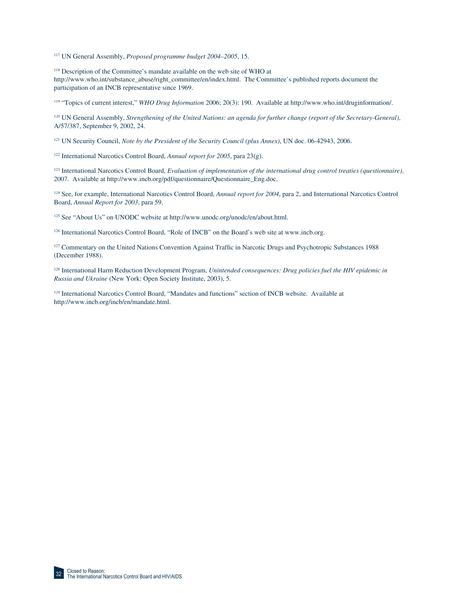117 UN General Assembly, *Proposed programme budget 2004–2005*, 15.

118 Description of the Committee's mandate available on the web site of WHO at http://www.who.int/substance\_abuse/right\_committee/en/index.html. The Committee's published reports document the participation of an INCB representative since 1969.

119 "Topics of current interest," *WHO Drug Information* 2006; 20(3): 190. Available at http://www.who.int/druginformation/.

120 UN General Assembly, *Strengthening of the United Nations: an agenda for further change (report of the Secretary-General)*, A/57/387, September 9, 2002, 24.

<sup>121</sup> UN Security Council, *Note by the President of the Security Council (plus Annex)*, UN doc. 06-42943, 2006.

122 International Narcotics Control Board, *Annual report for 2005*, para 23(g).

123 International Narcotics Control Board, *Evaluation of implementation of the international drug control treaties (questionnaire)*, 2007. Available at http://www.incb.org/pdf/questionnaire/Questionnaire\_Eng.doc.

124 See, for example, International Narcotics Control Board, *Annual report for 2004*, para 2, and International Narcotics Control Board, *Annual Report for 2003*, para 59.

125 See "About Us" on UNODC website at http://www.unodc.org/unodc/en/about.html.

<sup>126</sup> International Narcotics Control Board, "Role of INCB" on the Board's web site at www.incb.org.

<sup>127</sup> Commentary on the United Nations Convention Against Traffic in Narcotic Drugs and Psychotropic Substances 1988 (December 1988).

128 International Harm Reduction Development Program, *Unintended consequences: Drug policies fuel the HIV epidemic in Russia and Ukraine* (New York: Open Society Institute, 2003), 5.

129 International Narcotics Control Board, "Mandates and functions" section of INCB website. Available at http://www.incb.org/incb/en/mandate.html.